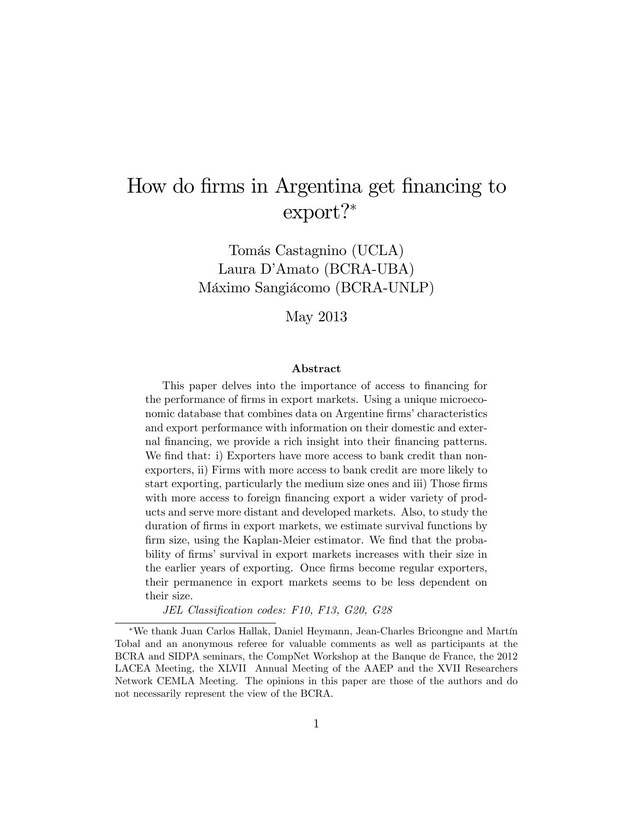# How do firms in Argentina get financing to export?

Tomás Castagnino (UCLA) Laura D'Amato (BCRA-UBA) Máximo Sangiácomo (BCRA-UNLP)

May 2013

#### Abstract

This paper delves into the importance of access to financing for the performance of firms in export markets. Using a unique microeconomic database that combines data on Argentine firms' characteristics and export performance with information on their domestic and external financing, we provide a rich insight into their financing patterns. We find that: i) Exporters have more access to bank credit than nonexporters, ii) Firms with more access to bank credit are more likely to start exporting, particularly the medium size ones and iii) Those firms with more access to foreign financing export a wider variety of products and serve more distant and developed markets. Also, to study the duration of firms in export markets, we estimate survival functions by firm size, using the Kaplan-Meier estimator. We find that the probability of firms' survival in export markets increases with their size in the earlier years of exporting. Once firms become regular exporters, their permanence in export markets seems to be less dependent on their size.

JEL Classification codes: F10, F13, G20, G28

<sup>\*</sup>We thank Juan Carlos Hallak, Daniel Heymann, Jean-Charles Bricongne and Martín Tobal and an anonymous referee for valuable comments as well as participants at the BCRA and SIDPA seminars, the CompNet Workshop at the Banque de France, the 2012 LACEA Meeting, the XLVII Annual Meeting of the AAEP and the XVII Researchers Network CEMLA Meeting. The opinions in this paper are those of the authors and do not necessarily represent the view of the BCRA.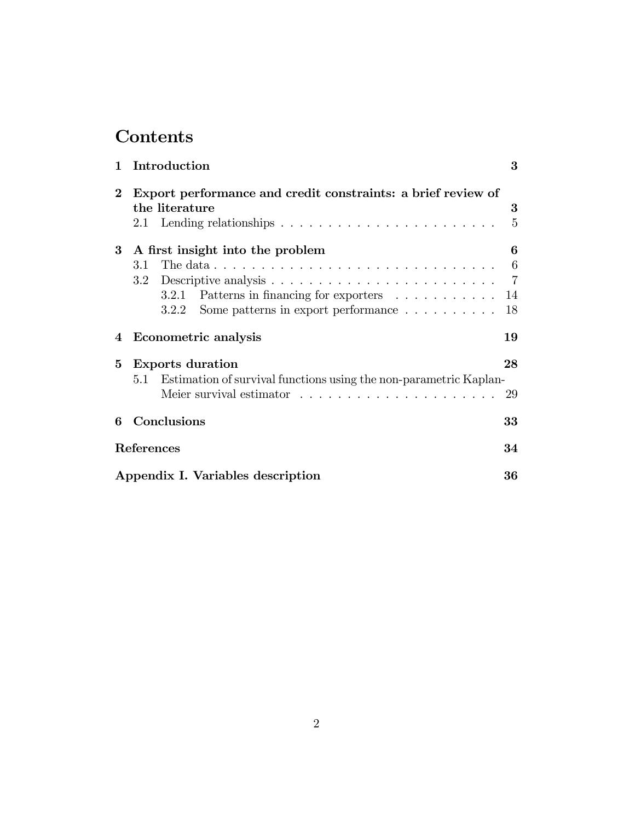# Contents

| $\mathbf{1}$ | Introduction                                                                                   | 3               |
|--------------|------------------------------------------------------------------------------------------------|-----------------|
| $\bf{2}$     | Export performance and credit constraints: a brief review of                                   |                 |
|              | the literature                                                                                 | 3               |
|              |                                                                                                | $\overline{5}$  |
|              | 3 A first insight into the problem                                                             | 6               |
|              | The data $\ldots \ldots \ldots \ldots \ldots \ldots \ldots \ldots \ldots \ldots \ldots$<br>3.1 | $6\phantom{.}6$ |
|              |                                                                                                | $\overline{7}$  |
|              | Patterns in financing for exporters<br>3.2.1                                                   | 14              |
|              | Some patterns in export performance $\dots \dots \dots$<br>3.2.2                               | 18              |
| 4            | Econometric analysis                                                                           | 19              |
| $5^{\circ}$  | <b>Exports duration</b>                                                                        | 28              |
|              | 5.1 Estimation of survival functions using the non-parametric Kaplan-                          |                 |
|              |                                                                                                | 29              |
| 6            | Conclusions                                                                                    | 33              |
|              | References                                                                                     | 34              |
|              | Appendix I. Variables description                                                              | 36              |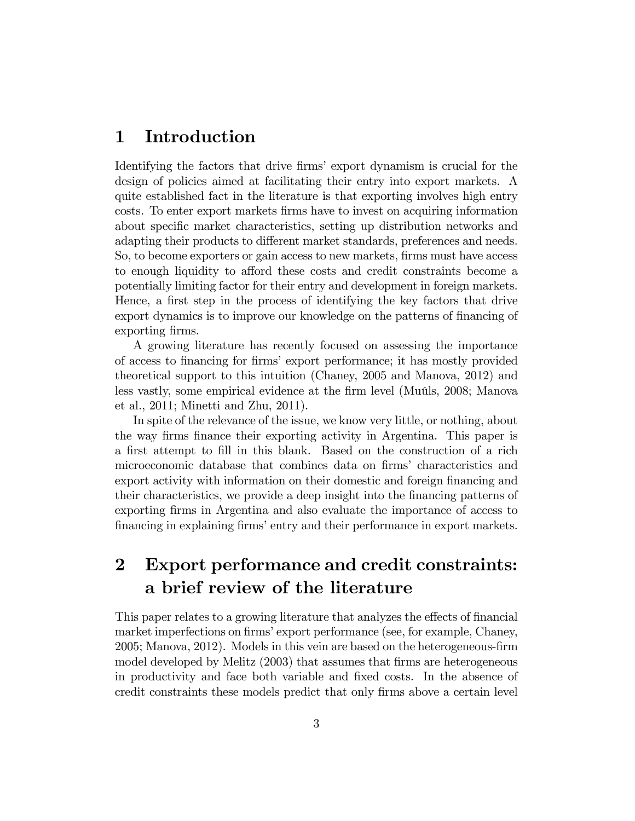## 1 Introduction

Identifying the factors that drive firms' export dynamism is crucial for the design of policies aimed at facilitating their entry into export markets. A quite established fact in the literature is that exporting involves high entry costs. To enter export markets Örms have to invest on acquiring information about specific market characteristics, setting up distribution networks and adapting their products to different market standards, preferences and needs. So, to become exporters or gain access to new markets, firms must have access to enough liquidity to afford these costs and credit constraints become a potentially limiting factor for their entry and development in foreign markets. Hence, a first step in the process of identifying the key factors that drive export dynamics is to improve our knowledge on the patterns of financing of exporting firms.

A growing literature has recently focused on assessing the importance of access to financing for firms' export performance; it has mostly provided theoretical support to this intuition (Chaney, 2005 and Manova, 2012) and less vastly, some empirical evidence at the firm level (Muûls, 2008; Manova et al., 2011; Minetti and Zhu, 2011).

In spite of the relevance of the issue, we know very little, or nothing, about the way Örms Önance their exporting activity in Argentina. This paper is a first attempt to fill in this blank. Based on the construction of a rich microeconomic database that combines data on firms' characteristics and export activity with information on their domestic and foreign financing and their characteristics, we provide a deep insight into the financing patterns of exporting Örms in Argentina and also evaluate the importance of access to financing in explaining firms' entry and their performance in export markets.

## 2 Export performance and credit constraints: a brief review of the literature

This paper relates to a growing literature that analyzes the effects of financial market imperfections on firms' export performance (see, for example, Chaney, 2005; Manova, 2012). Models in this vein are based on the heterogeneous-firm model developed by Melitz (2003) that assumes that firms are heterogeneous in productivity and face both variable and fixed costs. In the absence of credit constraints these models predict that only firms above a certain level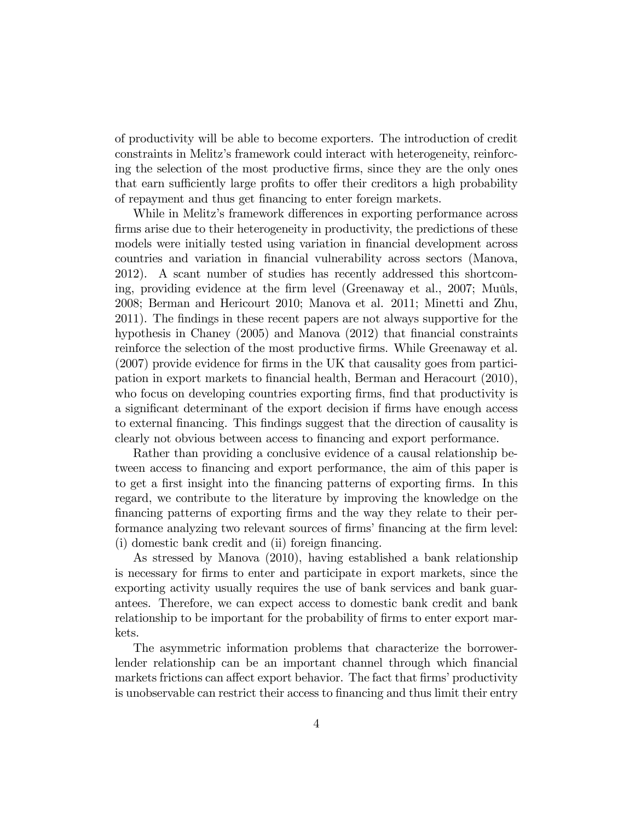of productivity will be able to become exporters. The introduction of credit constraints in Melitzís framework could interact with heterogeneity, reinforcing the selection of the most productive Örms, since they are the only ones that earn sufficiently large profits to offer their creditors a high probability of repayment and thus get financing to enter foreign markets.

While in Melitz's framework differences in exporting performance across firms arise due to their heterogeneity in productivity, the predictions of these models were initially tested using variation in financial development across countries and variation in Önancial vulnerability across sectors (Manova, 2012). A scant number of studies has recently addressed this shortcoming, providing evidence at the firm level (Greenaway et al., 2007; Muûls, 2008; Berman and Hericourt 2010; Manova et al. 2011; Minetti and Zhu, 2011). The findings in these recent papers are not always supportive for the hypothesis in Chaney  $(2005)$  and Manova  $(2012)$  that financial constraints reinforce the selection of the most productive firms. While Greenaway et al.  $(2007)$  provide evidence for firms in the UK that causality goes from participation in export markets to Önancial health, Berman and Heracourt (2010), who focus on developing countries exporting firms, find that productivity is a significant determinant of the export decision if firms have enough access to external Önancing. This Öndings suggest that the direction of causality is clearly not obvious between access to financing and export performance.

Rather than providing a conclusive evidence of a causal relationship between access to financing and export performance, the aim of this paper is to get a first insight into the financing patterns of exporting firms. In this regard, we contribute to the literature by improving the knowledge on the Önancing patterns of exporting Örms and the way they relate to their performance analyzing two relevant sources of firms' financing at the firm level: (i) domestic bank credit and (ii) foreign financing.

As stressed by Manova (2010), having established a bank relationship is necessary for Örms to enter and participate in export markets, since the exporting activity usually requires the use of bank services and bank guarantees. Therefore, we can expect access to domestic bank credit and bank relationship to be important for the probability of firms to enter export markets.

The asymmetric information problems that characterize the borrowerlender relationship can be an important channel through which financial markets frictions can affect export behavior. The fact that firms' productivity is unobservable can restrict their access to financing and thus limit their entry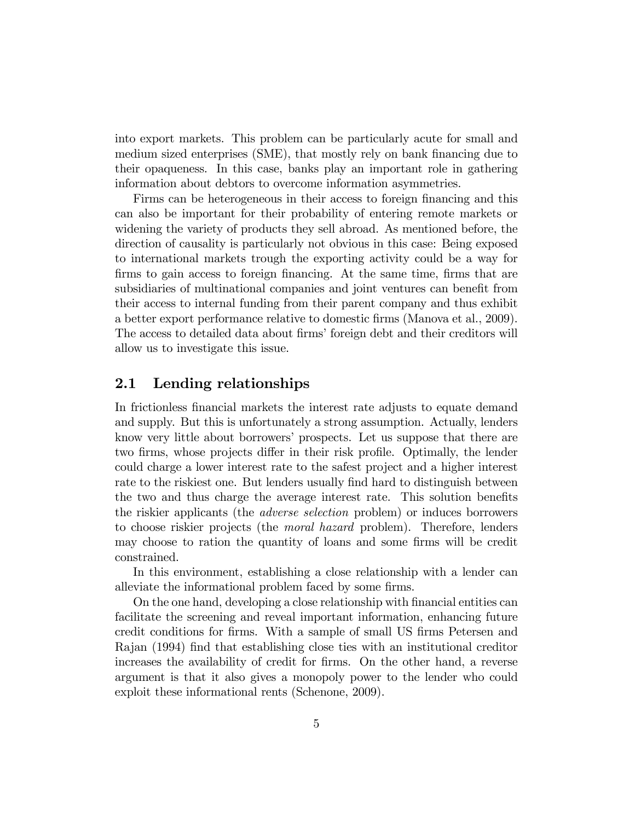into export markets. This problem can be particularly acute for small and medium sized enterprises (SME), that mostly rely on bank financing due to their opaqueness. In this case, banks play an important role in gathering information about debtors to overcome information asymmetries.

Firms can be heterogeneous in their access to foreign financing and this can also be important for their probability of entering remote markets or widening the variety of products they sell abroad. As mentioned before, the direction of causality is particularly not obvious in this case: Being exposed to international markets trough the exporting activity could be a way for firms to gain access to foreign financing. At the same time, firms that are subsidiaries of multinational companies and joint ventures can benefit from their access to internal funding from their parent company and thus exhibit a better export performance relative to domestic Örms (Manova et al., 2009). The access to detailed data about firms' foreign debt and their creditors will allow us to investigate this issue.

### 2.1 Lending relationships

In frictionless financial markets the interest rate adjusts to equate demand and supply. But this is unfortunately a strong assumption. Actually, lenders know very little about borrowers' prospects. Let us suppose that there are two firms, whose projects differ in their risk profile. Optimally, the lender could charge a lower interest rate to the safest project and a higher interest rate to the riskiest one. But lenders usually find hard to distinguish between the two and thus charge the average interest rate. This solution benefits the riskier applicants (the adverse selection problem) or induces borrowers to choose riskier projects (the moral hazard problem). Therefore, lenders may choose to ration the quantity of loans and some firms will be credit constrained.

In this environment, establishing a close relationship with a lender can alleviate the informational problem faced by some firms.

On the one hand, developing a close relationship with Önancial entities can facilitate the screening and reveal important information, enhancing future credit conditions for firms. With a sample of small US firms Petersen and Rajan (1994) Önd that establishing close ties with an institutional creditor increases the availability of credit for firms. On the other hand, a reverse argument is that it also gives a monopoly power to the lender who could exploit these informational rents (Schenone, 2009).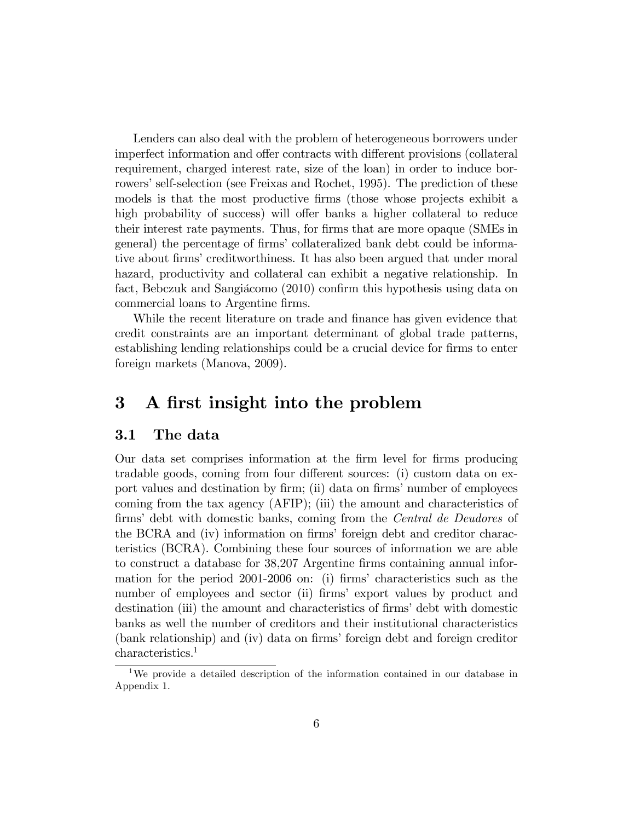Lenders can also deal with the problem of heterogeneous borrowers under imperfect information and offer contracts with different provisions (collateral requirement, charged interest rate, size of the loan) in order to induce borrowers' self-selection (see Freixas and Rochet, 1995). The prediction of these models is that the most productive firms (those whose projects exhibit a high probability of success) will offer banks a higher collateral to reduce their interest rate payments. Thus, for Örms that are more opaque (SMEs in general) the percentage of firms' collateralized bank debt could be informative about firms' creditworthiness. It has also been argued that under moral hazard, productivity and collateral can exhibit a negative relationship. In fact, Bebczuk and Sangiácomo (2010) confirm this hypothesis using data on commercial loans to Argentine firms.

While the recent literature on trade and finance has given evidence that credit constraints are an important determinant of global trade patterns, establishing lending relationships could be a crucial device for firms to enter foreign markets (Manova, 2009).

## 3 A first insight into the problem

### 3.1 The data

Our data set comprises information at the firm level for firms producing tradable goods, coming from four different sources: (i) custom data on export values and destination by firm; (ii) data on firms' number of employees coming from the tax agency (AFIP); (iii) the amount and characteristics of firms' debt with domestic banks, coming from the *Central de Deudores* of the BCRA and (iv) information on firms' foreign debt and creditor characteristics (BCRA). Combining these four sources of information we are able to construct a database for 38,207 Argentine firms containing annual information for the period 2001-2006 on: (i) firms' characteristics such as the number of employees and sector (ii) firms' export values by product and destination (iii) the amount and characteristics of firms' debt with domestic banks as well the number of creditors and their institutional characteristics (bank relationship) and (iv) data on firms' foreign debt and foreign creditor characteristics.<sup>1</sup>

<sup>&</sup>lt;sup>1</sup>We provide a detailed description of the information contained in our database in Appendix 1.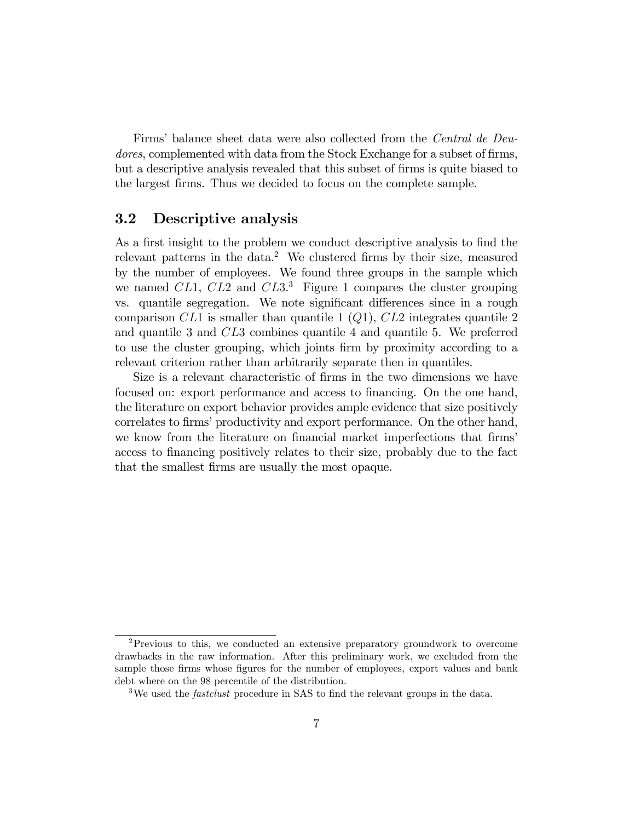Firms' balance sheet data were also collected from the *Central de Deu*dores, complemented with data from the Stock Exchange for a subset of firms, but a descriptive analysis revealed that this subset of firms is quite biased to the largest firms. Thus we decided to focus on the complete sample.

#### 3.2 Descriptive analysis

As a first insight to the problem we conduct descriptive analysis to find the relevant patterns in the data.<sup>2</sup> We clustered firms by their size, measured by the number of employees. We found three groups in the sample which we named  $CL1$ ,  $CL2$  and  $CL3$ <sup>3</sup>. Figure 1 compares the cluster grouping vs. quantile segregation. We note significant differences since in a rough comparison  $CL1$  is smaller than quantile 1  $(Q1)$ ,  $CL2$  integrates quantile 2 and quantile 3 and CL3 combines quantile 4 and quantile 5. We preferred to use the cluster grouping, which joints firm by proximity according to a relevant criterion rather than arbitrarily separate then in quantiles.

Size is a relevant characteristic of firms in the two dimensions we have focused on: export performance and access to financing. On the one hand, the literature on export behavior provides ample evidence that size positively correlates to firms' productivity and export performance. On the other hand, we know from the literature on financial market imperfections that firms access to financing positively relates to their size, probably due to the fact that the smallest Örms are usually the most opaque.

<sup>2</sup>Previous to this, we conducted an extensive preparatory groundwork to overcome drawbacks in the raw information. After this preliminary work, we excluded from the sample those firms whose figures for the number of employees, export values and bank debt where on the 98 percentile of the distribution.

<sup>&</sup>lt;sup>3</sup>We used the *fastclust* procedure in SAS to find the relevant groups in the data.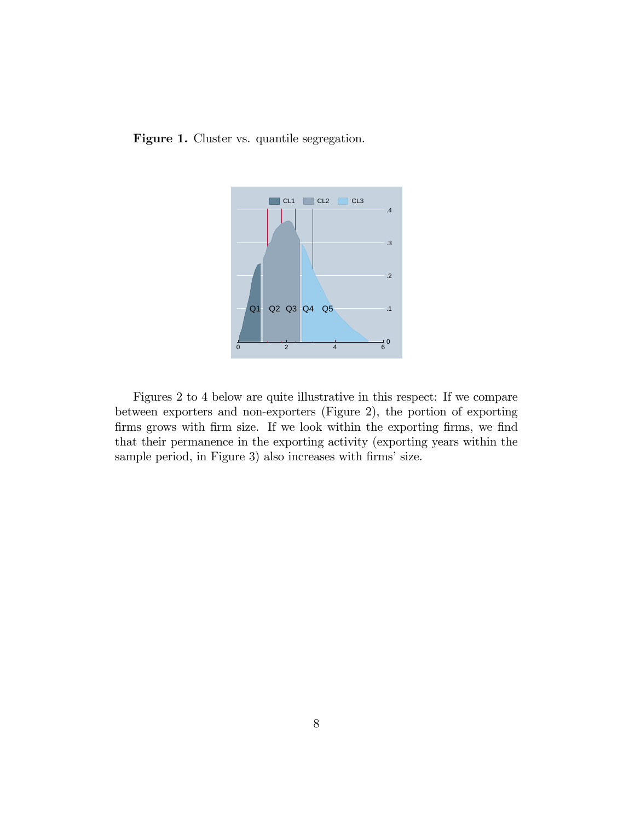Figure 1. Cluster vs. quantile segregation.



Figures 2 to 4 below are quite illustrative in this respect: If we compare between exporters and non-exporters (Figure 2), the portion of exporting firms grows with firm size. If we look within the exporting firms, we find that their permanence in the exporting activity (exporting years within the sample period, in Figure 3) also increases with firms' size.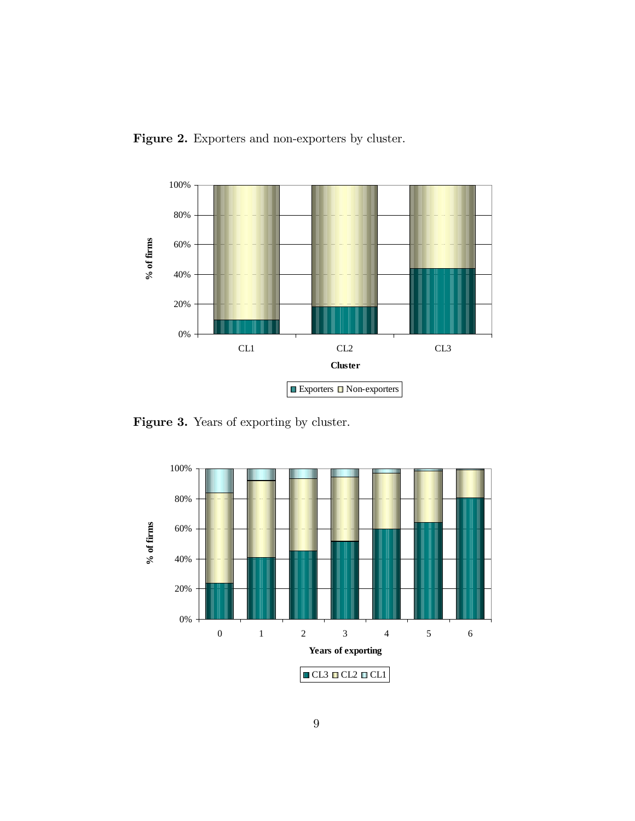



Figure 3. Years of exporting by cluster.

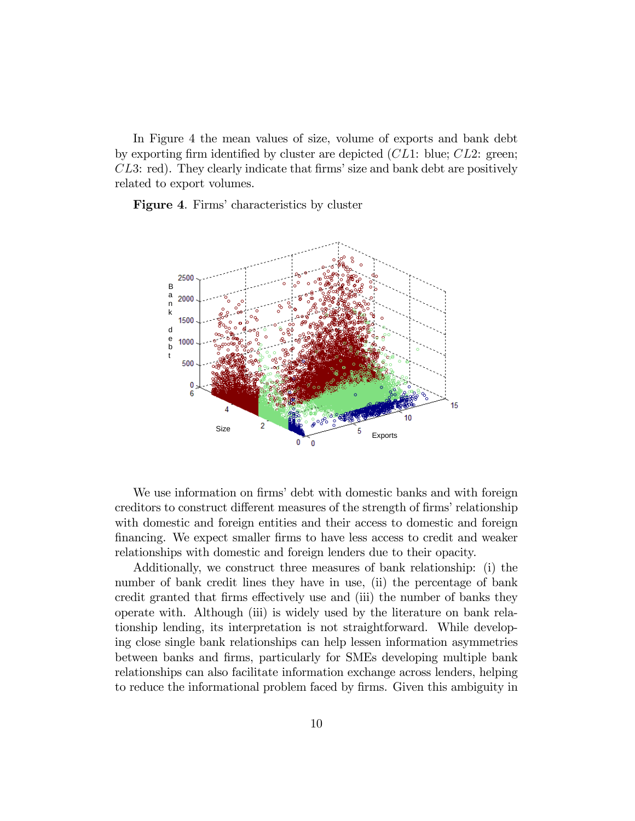In Figure 4 the mean values of size, volume of exports and bank debt by exporting firm identified by cluster are depicted  $CL1$ : blue;  $CL2$ : green;  $CL3:$  red). They clearly indicate that firms' size and bank debt are positively related to export volumes.

Figure 4. Firms' characteristics by cluster



We use information on firms' debt with domestic banks and with foreign creditors to construct different measures of the strength of firms' relationship with domestic and foreign entities and their access to domestic and foreign Önancing. We expect smaller Örms to have less access to credit and weaker relationships with domestic and foreign lenders due to their opacity.

Additionally, we construct three measures of bank relationship: (i) the number of bank credit lines they have in use, (ii) the percentage of bank credit granted that firms effectively use and (iii) the number of banks they operate with. Although (iii) is widely used by the literature on bank relationship lending, its interpretation is not straightforward. While developing close single bank relationships can help lessen information asymmetries between banks and Örms, particularly for SMEs developing multiple bank relationships can also facilitate information exchange across lenders, helping to reduce the informational problem faced by firms. Given this ambiguity in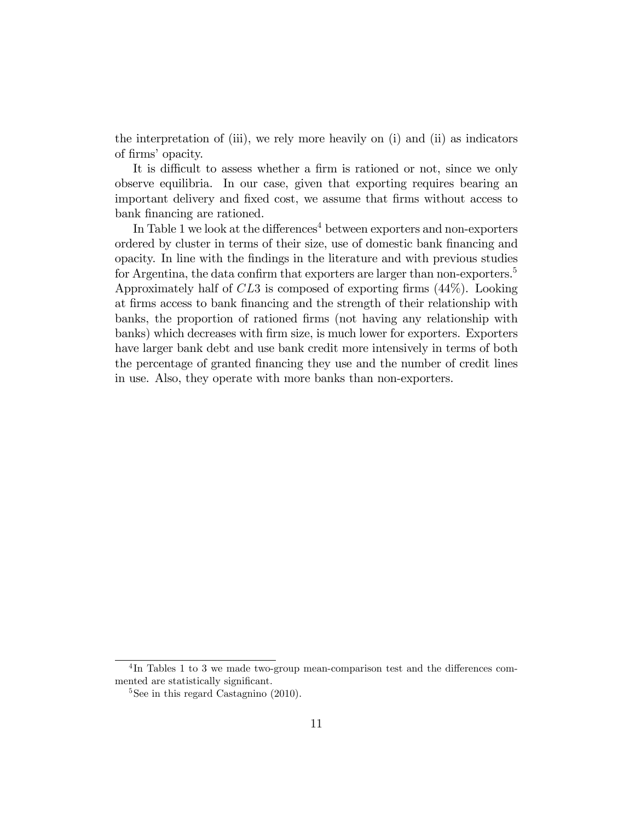the interpretation of (iii), we rely more heavily on (i) and (ii) as indicators of firms' opacity.

It is difficult to assess whether a firm is rationed or not, since we only observe equilibria. In our case, given that exporting requires bearing an important delivery and fixed cost, we assume that firms without access to bank financing are rationed.

In Table 1 we look at the differences<sup>4</sup> between exporters and non-exporters ordered by cluster in terms of their size, use of domestic bank financing and opacity. In line with the Öndings in the literature and with previous studies for Argentina, the data confirm that exporters are larger than non-exporters.<sup>5</sup> Approximately half of  $CL3$  is composed of exporting firms  $(44\%)$ . Looking at Örms access to bank Önancing and the strength of their relationship with banks, the proportion of rationed Örms (not having any relationship with banks) which decreases with Örm size, is much lower for exporters. Exporters have larger bank debt and use bank credit more intensively in terms of both the percentage of granted Önancing they use and the number of credit lines in use. Also, they operate with more banks than non-exporters.

 ${}^{4}\text{In}$  Tables 1 to 3 we made two-group mean-comparison test and the differences commented are statistically significant.

 $5$ See in this regard Castagnino  $(2010)$ .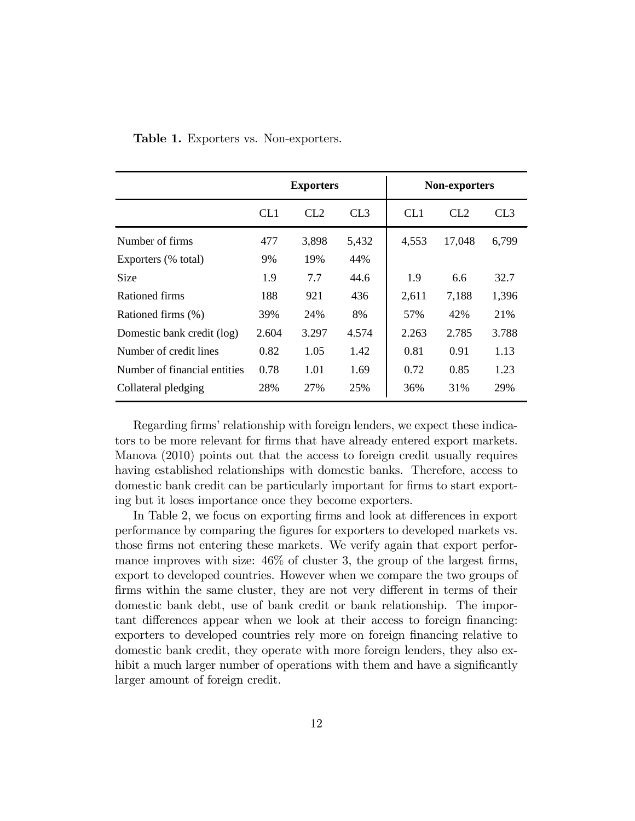|                              |                 | <b>Exporters</b> |                 | Non-exporters   |        |                 |  |
|------------------------------|-----------------|------------------|-----------------|-----------------|--------|-----------------|--|
|                              | CL <sub>1</sub> | CL2              | CL <sub>3</sub> | CL <sub>1</sub> | CL2    | CL <sub>3</sub> |  |
| Number of firms              | 477             | 3,898            | 5,432           | 4,553           | 17,048 | 6,799           |  |
| Exporters (% total)          | 9%              | 19%              | 44%             |                 |        |                 |  |
| <b>Size</b>                  | 1.9             | 7.7              | 44.6            | 1.9             | 6.6    | 32.7            |  |
| Rationed firms               | 188             | 921              | 436             | 2,611           | 7,188  | 1,396           |  |
| Rationed firms (%)           | 39%             | 24%              | 8%              | 57%             | 42%    | 21%             |  |
| Domestic bank credit (log)   | 2.604           | 3.297            | 4.574           | 2.263           | 2.785  | 3.788           |  |
| Number of credit lines       | 0.82            | 1.05             | 1.42            | 0.81            | 0.91   | 1.13            |  |
| Number of financial entities | 0.78            | 1.01             | 1.69            | 0.72            | 0.85   | 1.23            |  |
| Collateral pledging          | 28%             | 27%              | 25%             | 36%             | 31%    | 29%             |  |

Table 1. Exporters vs. Non-exporters.

Regarding firms' relationship with foreign lenders, we expect these indicators to be more relevant for firms that have already entered export markets. Manova (2010) points out that the access to foreign credit usually requires having established relationships with domestic banks. Therefore, access to domestic bank credit can be particularly important for firms to start exporting but it loses importance once they become exporters.

In Table 2, we focus on exporting firms and look at differences in export performance by comparing the Ögures for exporters to developed markets vs. those firms not entering these markets. We verify again that export performance improves with size:  $46\%$  of cluster 3, the group of the largest firms, export to developed countries. However when we compare the two groups of firms within the same cluster, they are not very different in terms of their domestic bank debt, use of bank credit or bank relationship. The important differences appear when we look at their access to foreign financing: exporters to developed countries rely more on foreign financing relative to domestic bank credit, they operate with more foreign lenders, they also exhibit a much larger number of operations with them and have a significantly larger amount of foreign credit.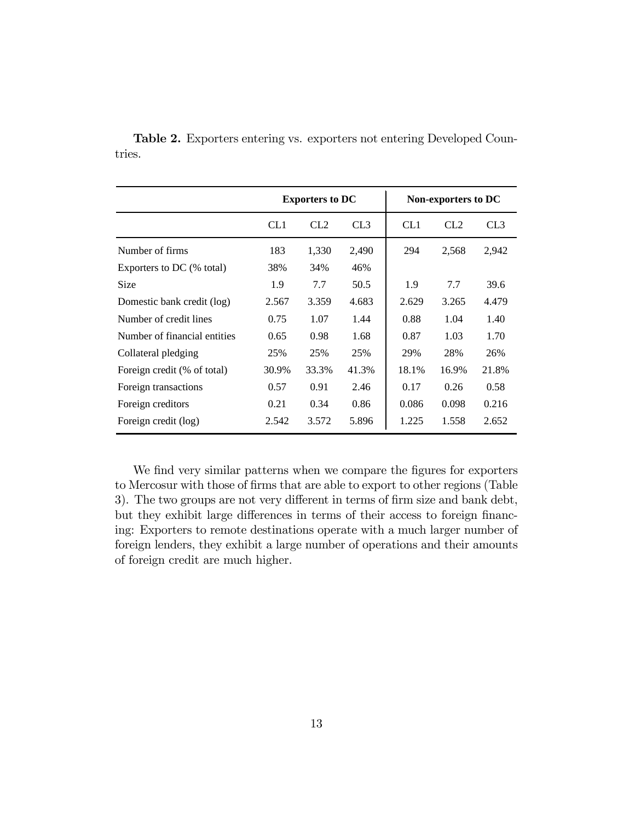|                              |       | <b>Exporters to DC</b> |       |                 | Non-exporters to DC |       |
|------------------------------|-------|------------------------|-------|-----------------|---------------------|-------|
|                              | CL1   | CL2                    | CL3   | CL <sub>1</sub> | CL2                 | CL3   |
| Number of firms              | 183   | 1,330                  | 2,490 | 294             | 2,568               | 2,942 |
| Exporters to DC (% total)    | 38%   | 34%                    | 46%   |                 |                     |       |
| <b>Size</b>                  | 1.9   | 7.7                    | 50.5  | 1.9             | 7.7                 | 39.6  |
| Domestic bank credit (log)   | 2.567 | 3.359                  | 4.683 | 2.629           | 3.265               | 4.479 |
| Number of credit lines       | 0.75  | 1.07                   | 1.44  | 0.88            | 1.04                | 1.40  |
| Number of financial entities | 0.65  | 0.98                   | 1.68  | 0.87            | 1.03                | 1.70  |
| Collateral pledging          | 25%   | 25%                    | 25%   | 29%             | 28%                 | 26%   |
| Foreign credit (% of total)  | 30.9% | 33.3%                  | 41.3% | 18.1%           | 16.9%               | 21.8% |
| Foreign transactions         | 0.57  | 0.91                   | 2.46  | 0.17            | 0.26                | 0.58  |
| Foreign creditors            | 0.21  | 0.34                   | 0.86  | 0.086           | 0.098               | 0.216 |
| Foreign credit (log)         | 2.542 | 3.572                  | 5.896 | 1.225           | 1.558               | 2.652 |

Table 2. Exporters entering vs. exporters not entering Developed Countries.

We find very similar patterns when we compare the figures for exporters to Mercosur with those of firms that are able to export to other regions (Table 3). The two groups are not very different in terms of firm size and bank debt, but they exhibit large differences in terms of their access to foreign financing: Exporters to remote destinations operate with a much larger number of foreign lenders, they exhibit a large number of operations and their amounts of foreign credit are much higher.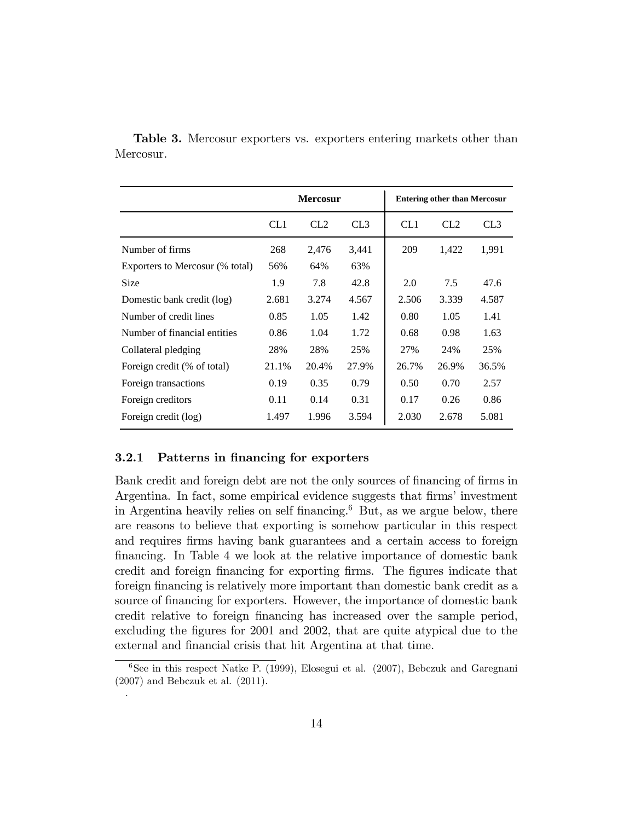|                                 |       | <b>Mercosur</b> |       |       | <b>Entering other than Mercosur</b> |       |
|---------------------------------|-------|-----------------|-------|-------|-------------------------------------|-------|
|                                 | CL1   | CL2             | CL3   | CL1   | CL <sub>2</sub>                     | CL3   |
| Number of firms                 | 268   | 2,476           | 3,441 | 209   | 1,422                               | 1,991 |
| Exporters to Mercosur (% total) | 56%   | 64%             | 63%   |       |                                     |       |
| Size                            | 1.9   | 7.8             | 42.8  | 2.0   | 7.5                                 | 47.6  |
| Domestic bank credit (log)      | 2.681 | 3.274           | 4.567 | 2.506 | 3.339                               | 4.587 |
| Number of credit lines          | 0.85  | 1.05            | 1.42  | 0.80  | 1.05                                | 1.41  |
| Number of financial entities    | 0.86  | 1.04            | 1.72  | 0.68  | 0.98                                | 1.63  |
| Collateral pledging             | 28%   | 28%             | 25%   | 27%   | 24%                                 | 25%   |
| Foreign credit (% of total)     | 21.1% | 20.4%           | 27.9% | 26.7% | 26.9%                               | 36.5% |
| Foreign transactions            | 0.19  | 0.35            | 0.79  | 0.50  | 0.70                                | 2.57  |
| Foreign creditors               | 0.11  | 0.14            | 0.31  | 0.17  | 0.26                                | 0.86  |
| Foreign credit (log)            | 1.497 | 1.996           | 3.594 | 2.030 | 2.678                               | 5.081 |

Table 3. Mercosur exporters vs. exporters entering markets other than Mercosur.

#### 3.2.1 Patterns in financing for exporters

.

Bank credit and foreign debt are not the only sources of financing of firms in Argentina. In fact, some empirical evidence suggests that firms' investment in Argentina heavily relies on self financing.<sup>6</sup> But, as we argue below, there are reasons to believe that exporting is somehow particular in this respect and requires firms having bank guarantees and a certain access to foreign Önancing. In Table 4 we look at the relative importance of domestic bank credit and foreign financing for exporting firms. The figures indicate that foreign financing is relatively more important than domestic bank credit as a source of financing for exporters. However, the importance of domestic bank credit relative to foreign financing has increased over the sample period, excluding the figures for 2001 and 2002, that are quite atypical due to the external and financial crisis that hit Argentina at that time.

<sup>&</sup>lt;sup>6</sup>See in this respect Natke P. (1999), Elosegui et al. (2007), Bebczuk and Garegnani (2007) and Bebczuk et al. (2011).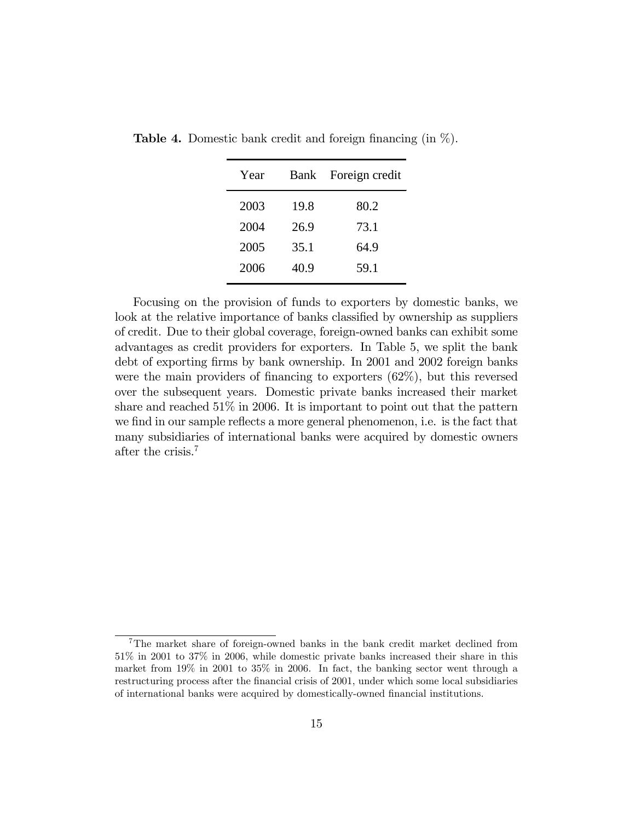| Year | Bank | Foreign credit |
|------|------|----------------|
| 2003 | 19.8 | 80.2           |
| 2004 | 26.9 | 73.1           |
| 2005 | 35.1 | 64.9           |
| 2006 | 40.9 | 59.1           |

**Table 4.** Domestic bank credit and foreign financing (in  $\%$ ).

Focusing on the provision of funds to exporters by domestic banks, we look at the relative importance of banks classified by ownership as suppliers of credit. Due to their global coverage, foreign-owned banks can exhibit some advantages as credit providers for exporters. In Table 5, we split the bank debt of exporting firms by bank ownership. In 2001 and 2002 foreign banks were the main providers of financing to exporters  $(62\%)$ , but this reversed over the subsequent years. Domestic private banks increased their market share and reached 51% in 2006. It is important to point out that the pattern we find in our sample reflects a more general phenomenon, i.e. is the fact that many subsidiaries of international banks were acquired by domestic owners after the crisis.<sup>7</sup>

<sup>&</sup>lt;sup>7</sup>The market share of foreign-owned banks in the bank credit market declined from 51% in 2001 to 37% in 2006, while domestic private banks increased their share in this market from 19% in 2001 to 35% in 2006. In fact, the banking sector went through a restructuring process after the financial crisis of 2001, under which some local subsidiaries of international banks were acquired by domestically-owned Önancial institutions.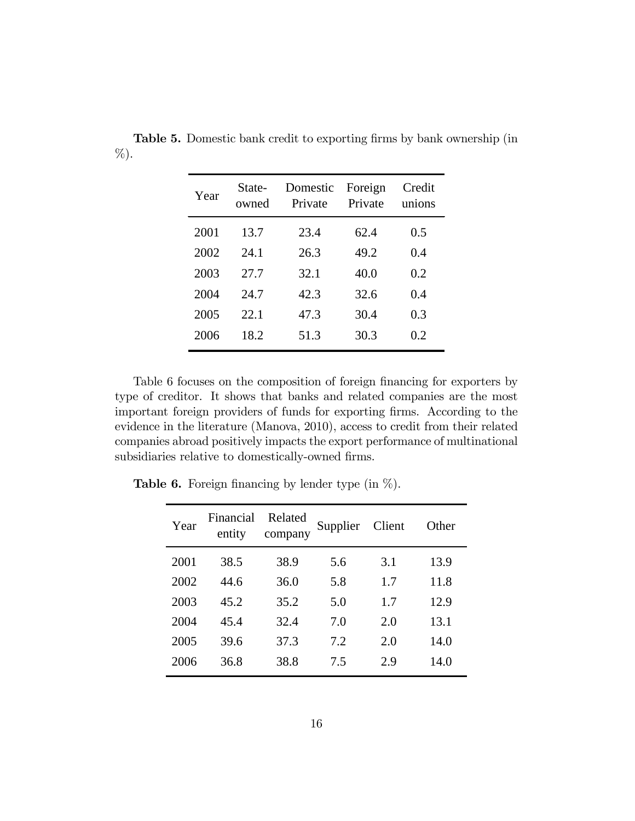| Year | State-<br>owned | Domestic<br>Private | Foreign<br>Private | Credit<br>unions |
|------|-----------------|---------------------|--------------------|------------------|
| 2001 | 13.7            | 23.4                | 62.4               | 0.5              |
| 2002 | 24.1            | 26.3                | 49.2               | 0.4              |
| 2003 | 27.7            | 32.1                | 40.0               | 0.2              |
| 2004 | 24.7            | 42.3                | 32.6               | 0.4              |
| 2005 | 22.1            | 47.3                | 30.4               | 0.3              |
| 2006 | 18.2            | 51.3                | 30.3               | 0.2              |

**Table 5.** Domestic bank credit to exporting firms by bank ownership (in %).

Table 6 focuses on the composition of foreign financing for exporters by type of creditor. It shows that banks and related companies are the most important foreign providers of funds for exporting firms. According to the evidence in the literature (Manova, 2010), access to credit from their related companies abroad positively impacts the export performance of multinational subsidiaries relative to domestically-owned firms.

| Year | Financial<br>entity | Related<br>company | Supplier | Client | Other |
|------|---------------------|--------------------|----------|--------|-------|
| 2001 | 38.5                | 38.9               | 5.6      | 3.1    | 13.9  |
| 2002 | 44.6                | 36.0               | 5.8      | 1.7    | 11.8  |
| 2003 | 45.2                | 35.2               | 5.0      | 1.7    | 12.9  |
| 2004 | 45.4                | 32.4               | 7.0      | 2.0    | 13.1  |
| 2005 | 39.6                | 37.3               | 7.2      | 2.0    | 14.0  |
| 2006 | 36.8                | 38.8               | 7.5      | 2.9    | 14.0  |

**Table 6.** Foreign financing by lender type (in  $\%$ ).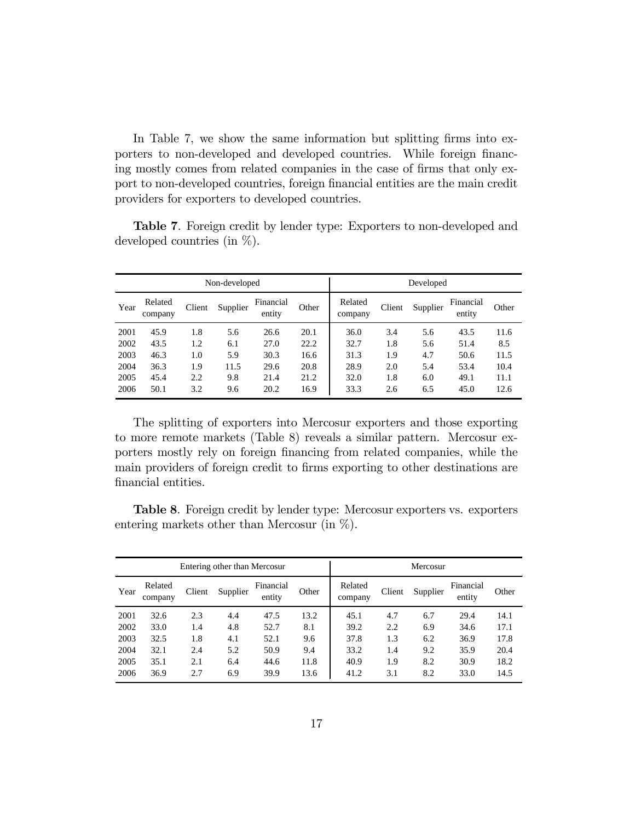In Table 7, we show the same information but splitting firms into exporters to non-developed and developed countries. While foreign financing mostly comes from related companies in the case of firms that only export to non-developed countries, foreign Önancial entities are the main credit providers for exporters to developed countries.

|      |                    |        | Non-developed |                     |       |                    | Developed |          |                     |       |
|------|--------------------|--------|---------------|---------------------|-------|--------------------|-----------|----------|---------------------|-------|
| Year | Related<br>company | Client | Supplier      | Financial<br>entity | Other | Related<br>company | Client    | Supplier | Financial<br>entity | Other |
| 2001 | 45.9               | 1.8    | 5.6           | 26.6                | 20.1  | 36.0               | 3.4       | 5.6      | 43.5                | 11.6  |
| 2002 | 43.5               | 1.2    | 6.1           | 27.0                | 22.2  | 32.7               | 1.8       | 5.6      | 51.4                | 8.5   |
| 2003 | 46.3               | 1.0    | 5.9           | 30.3                | 16.6  | 31.3               | 1.9       | 4.7      | 50.6                | 11.5  |
| 2004 | 36.3               | 1.9    | 11.5          | 29.6                | 20.8  | 28.9               | 2.0       | 5.4      | 53.4                | 10.4  |
| 2005 | 45.4               | 2.2    | 9.8           | 21.4                | 21.2  | 32.0               | 1.8       | 6.0      | 49.1                | 11.1  |
| 2006 | 50.1               | 3.2    | 9.6           | 20.2                | 16.9  | 33.3               | 2.6       | 6.5      | 45.0                | 12.6  |

Table 7. Foreign credit by lender type: Exporters to non-developed and developed countries (in %).

The splitting of exporters into Mercosur exporters and those exporting to more remote markets (Table 8) reveals a similar pattern. Mercosur exporters mostly rely on foreign Önancing from related companies, while the main providers of foreign credit to firms exporting to other destinations are financial entities.

Table 8. Foreign credit by lender type: Mercosur exporters vs. exporters entering markets other than Mercosur (in %).

|      | Entering other than Mercosur |        |          |                     |       |                    |        | Mercosur |                     |       |
|------|------------------------------|--------|----------|---------------------|-------|--------------------|--------|----------|---------------------|-------|
| Year | Related<br>company           | Client | Supplier | Financial<br>entity | Other | Related<br>company | Client | Supplier | Financial<br>entity | Other |
| 2001 | 32.6                         | 2.3    | 4.4      | 47.5                | 13.2  | 45.1               | 4.7    | 6.7      | 29.4                | 14.1  |
| 2002 | 33.0                         | 1.4    | 4.8      | 52.7                | 8.1   | 39.2               | 2.2    | 6.9      | 34.6                | 17.1  |
| 2003 | 32.5                         | 1.8    | 4.1      | 52.1                | 9.6   | 37.8               | 1.3    | 6.2      | 36.9                | 17.8  |
| 2004 | 32.1                         | 2.4    | 5.2      | 50.9                | 9.4   | 33.2               | 1.4    | 9.2      | 35.9                | 20.4  |
| 2005 | 35.1                         | 2.1    | 6.4      | 44.6                | 11.8  | 40.9               | 1.9    | 8.2      | 30.9                | 18.2  |
| 2006 | 36.9                         | 2.7    | 6.9      | 39.9                | 13.6  | 41.2               | 3.1    | 8.2      | 33.0                | 14.5  |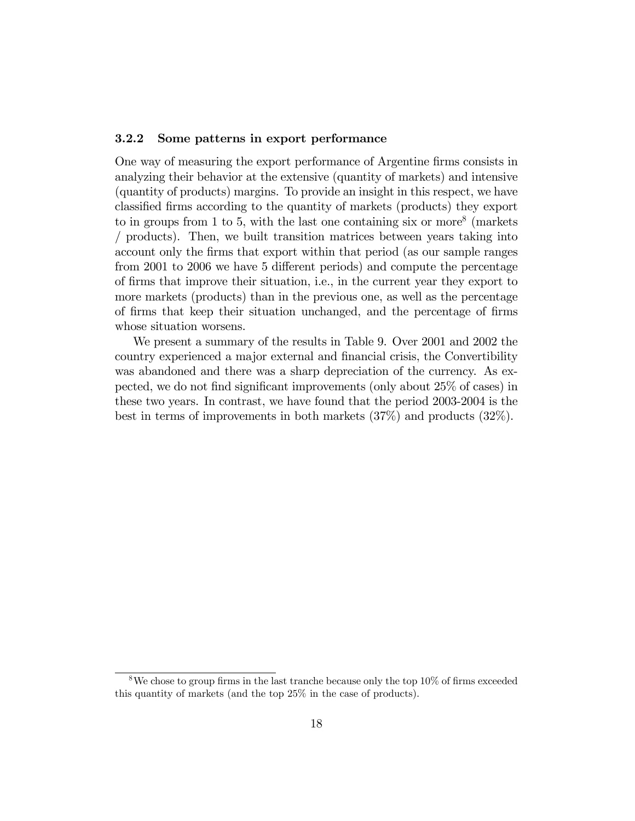#### 3.2.2 Some patterns in export performance

One way of measuring the export performance of Argentine firms consists in analyzing their behavior at the extensive (quantity of markets) and intensive (quantity of products) margins. To provide an insight in this respect, we have classified firms according to the quantity of markets (products) they export to in groups from 1 to 5, with the last one containing six or more<sup>8</sup> (markets / products). Then, we built transition matrices between years taking into account only the Örms that export within that period (as our sample ranges from 2001 to 2006 we have 5 different periods) and compute the percentage of Örms that improve their situation, i.e., in the current year they export to more markets (products) than in the previous one, as well as the percentage of Örms that keep their situation unchanged, and the percentage of Örms whose situation worsens.

We present a summary of the results in Table 9. Over 2001 and 2002 the country experienced a major external and Önancial crisis, the Convertibility was abandoned and there was a sharp depreciation of the currency. As expected, we do not find significant improvements (only about 25% of cases) in these two years. In contrast, we have found that the period 2003-2004 is the best in terms of improvements in both markets (37%) and products (32%).

<sup>&</sup>lt;sup>8</sup>We chose to group firms in the last tranche because only the top  $10\%$  of firms exceeded this quantity of markets (and the top 25% in the case of products).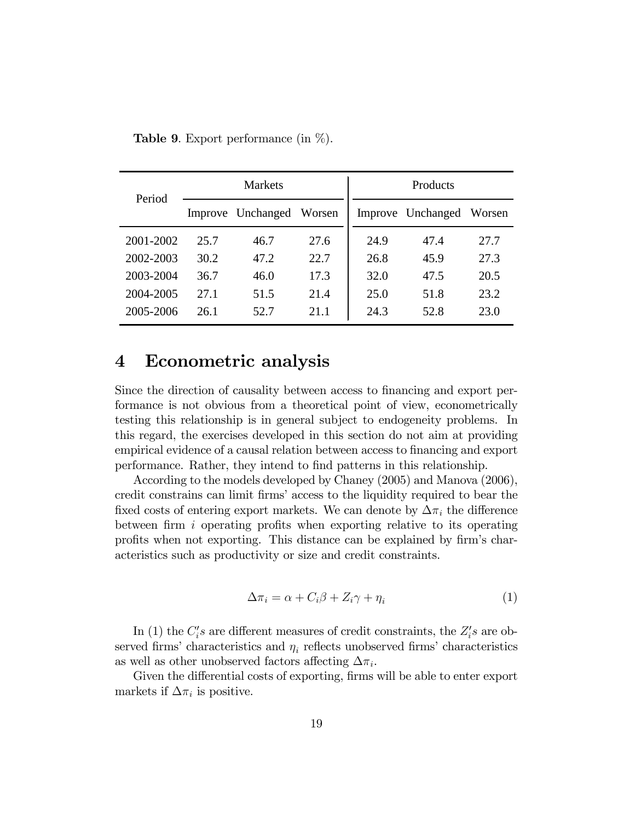| Period    |      | <b>Markets</b>    |        | Products |                   |        |
|-----------|------|-------------------|--------|----------|-------------------|--------|
|           |      | Improve Unchanged | Worsen |          | Improve Unchanged | Worsen |
| 2001-2002 | 25.7 | 46.7              | 27.6   | 24.9     | 47.4              | 27.7   |
| 2002-2003 | 30.2 | 47.2              | 22.7   | 26.8     | 45.9              | 27.3   |
| 2003-2004 | 36.7 | 46.0              | 17.3   | 32.0     | 47.5              | 20.5   |
| 2004-2005 | 27.1 | 51.5              | 21.4   | 25.0     | 51.8              | 23.2   |
| 2005-2006 | 26.1 | 52.7              | 21.1   | 24.3     | 52.8              | 23.0   |

**Table 9.** Export performance (in  $\%$ ).

## 4 Econometric analysis

Since the direction of causality between access to financing and export performance is not obvious from a theoretical point of view, econometrically testing this relationship is in general subject to endogeneity problems. In this regard, the exercises developed in this section do not aim at providing empirical evidence of a causal relation between access to financing and export performance. Rather, they intend to find patterns in this relationship.

According to the models developed by Chaney (2005) and Manova (2006), credit constrains can limit firms' access to the liquidity required to bear the fixed costs of entering export markets. We can denote by  $\Delta\pi_i$  the difference between firm  $i$  operating profits when exporting relative to its operating profits when not exporting. This distance can be explained by firm's characteristics such as productivity or size and credit constraints.

$$
\Delta \pi_i = \alpha + C_i \beta + Z_i \gamma + \eta_i \tag{1}
$$

In (1) the  $C_i$ 's are different measures of credit constraints, the  $Z_i$ 's are observed firms' characteristics and  $\eta_i$  reflects unobserved firms' characteristics as well as other unobserved factors affecting  $\Delta \pi_i$ .

Given the differential costs of exporting, firms will be able to enter export markets if  $\Delta \pi_i$  is positive.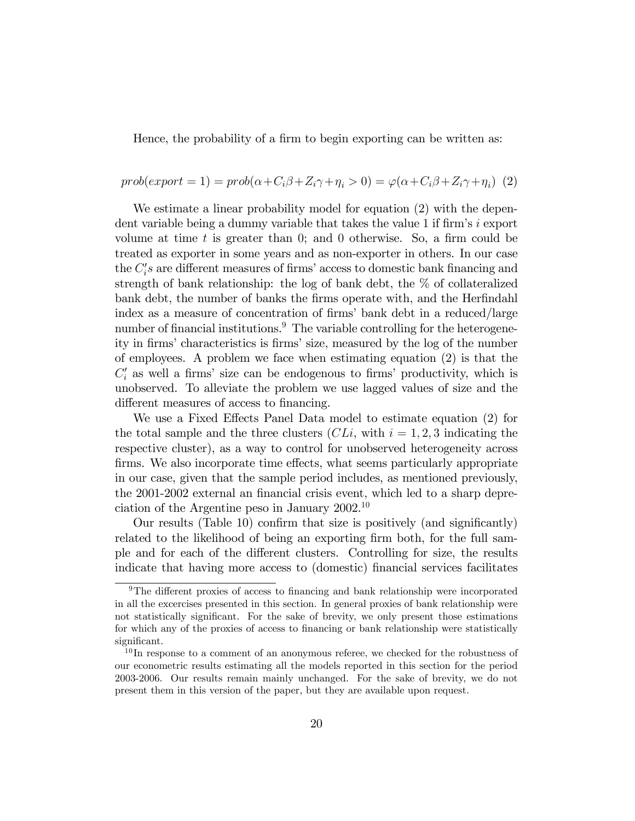Hence, the probability of a firm to begin exporting can be written as:

### $prob(export = 1) = prob(\alpha + C_i\beta + Z_i\gamma + \eta_i > 0) = \varphi(\alpha + C_i\beta + Z_i\gamma + \eta_i)$  (2)

We estimate a linear probability model for equation  $(2)$  with the dependent variable being a dummy variable that takes the value 1 if firm's  $i$  export volume at time  $t$  is greater than 0; and 0 otherwise. So, a firm could be treated as exporter in some years and as non-exporter in others. In our case the  $C_i$ 's are different measures of firms' access to domestic bank financing and strength of bank relationship: the log of bank debt, the % of collateralized bank debt, the number of banks the firms operate with, and the Herfindahl index as a measure of concentration of firms' bank debt in a reduced/large number of financial institutions.<sup>9</sup> The variable controlling for the heterogeneity in firms' characteristics is firms' size, measured by the log of the number of employees. A problem we face when estimating equation (2) is that the  $C_i'$  as well a firms' size can be endogenous to firms' productivity, which is unobserved. To alleviate the problem we use lagged values of size and the different measures of access to financing.

We use a Fixed Effects Panel Data model to estimate equation (2) for the total sample and the three clusters  $(CLi, \text{ with } i = 1, 2, 3 \text{ indicating the})$ respective cluster), as a way to control for unobserved heterogeneity across firms. We also incorporate time effects, what seems particularly appropriate in our case, given that the sample period includes, as mentioned previously, the 2001-2002 external an financial crisis event, which led to a sharp depreciation of the Argentine peso in January 2002.<sup>10</sup>

Our results (Table 10) confirm that size is positively (and significantly) related to the likelihood of being an exporting firm both, for the full sample and for each of the different clusters. Controlling for size, the results indicate that having more access to (domestic) Önancial services facilitates

 $9$ The different proxies of access to financing and bank relationship were incorporated in all the excercises presented in this section. In general proxies of bank relationship were not statistically significant. For the sake of brevity, we only present those estimations for which any of the proxies of access to financing or bank relationship were statistically significant.

<sup>&</sup>lt;sup>10</sup>In response to a comment of an anonymous referee, we checked for the robustness of our econometric results estimating all the models reported in this section for the period 2003-2006. Our results remain mainly unchanged. For the sake of brevity, we do not present them in this version of the paper, but they are available upon request.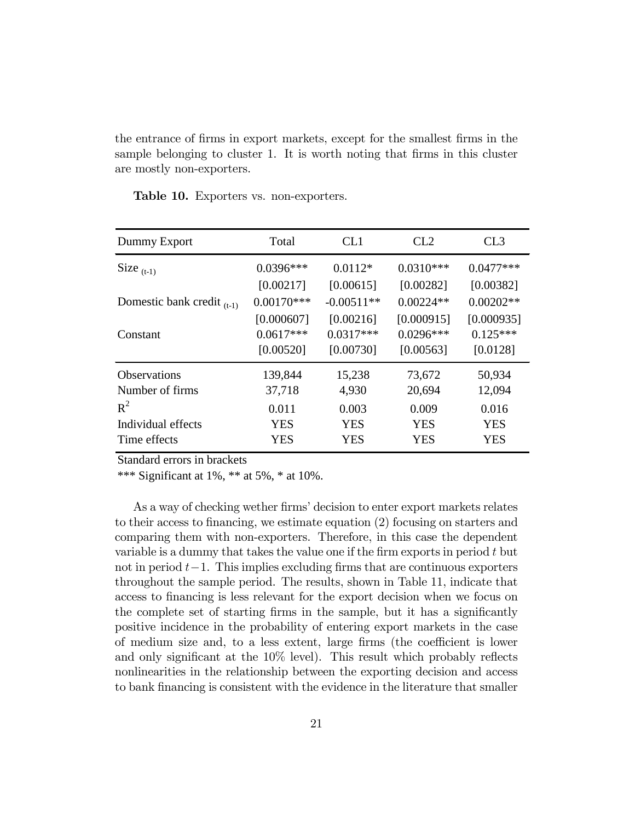the entrance of firms in export markets, except for the smallest firms in the sample belonging to cluster 1. It is worth noting that firms in this cluster are mostly non-exporters.

| Dummy Export                    | Total        | CL <sub>1</sub> | CL <sub>2</sub> | CL3         |
|---------------------------------|--------------|-----------------|-----------------|-------------|
| Size $(t-1)$                    | $0.0396***$  | $0.0112*$       | $0.0310***$     | $0.0477***$ |
|                                 | [0.00217]    | [0.00615]       | [0.00282]       | [0.00382]   |
| Domestic bank credit $_{(t-1)}$ | $0.00170***$ | $-0.00511**$    | $0.00224**$     | $0.00202**$ |
|                                 | [0.000607]   | [0.00216]       | [0.000915]      | [0.000935]  |
| Constant                        | $0.0617***$  | $0.0317***$     | $0.0296***$     | $0.125***$  |
|                                 | [0.00520]    | [0.00730]       | [0.00563]       | [0.0128]    |
| <b>Observations</b>             | 139,844      | 15,238          | 73,672          | 50,934      |
| Number of firms                 | 37,718       | 4,930           | 20,694          | 12,094      |
| $R^2$                           | 0.011        | 0.003           | 0.009           | 0.016       |
| Individual effects              | <b>YES</b>   | <b>YES</b>      | <b>YES</b>      | <b>YES</b>  |
| Time effects                    | YES          | YES             | YES             | YES         |

Table 10. Exporters vs. non-exporters.

Standard errors in brackets

\*\*\* Significant at  $1\%$ , \*\* at  $5\%$ , \* at  $10\%$ .

As a way of checking wether firms' decision to enter export markets relates to their access to financing, we estimate equation (2) focusing on starters and comparing them with non-exporters. Therefore, in this case the dependent variable is a dummy that takes the value one if the firm exports in period  $t$  but not in period  $t-1$ . This implies excluding firms that are continuous exporters throughout the sample period. The results, shown in Table 11, indicate that access to financing is less relevant for the export decision when we focus on the complete set of starting firms in the sample, but it has a significantly positive incidence in the probability of entering export markets in the case of medium size and, to a less extent, large firms (the coefficient is lower and only significant at the  $10\%$  level). This result which probably reflects nonlinearities in the relationship between the exporting decision and access to bank Önancing is consistent with the evidence in the literature that smaller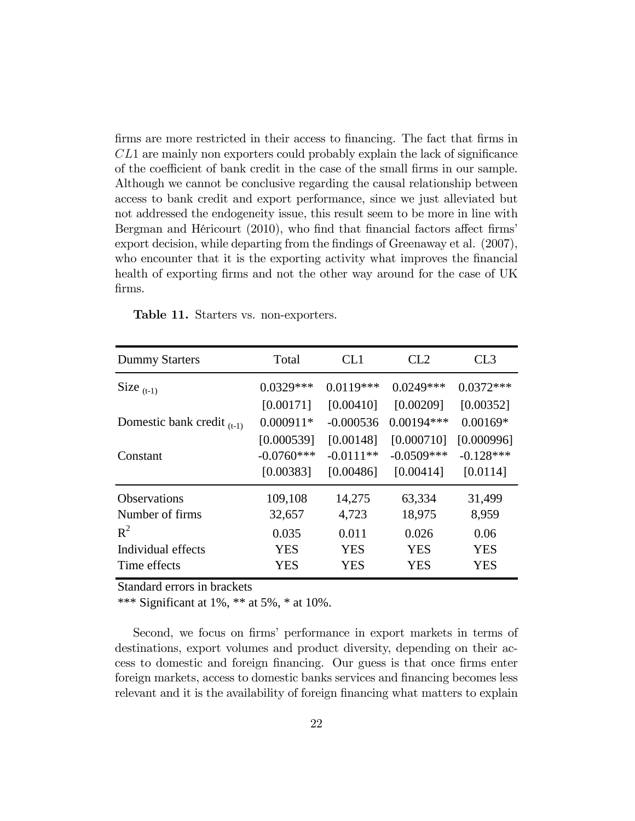firms are more restricted in their access to financing. The fact that firms in  $CL1$  are mainly non exporters could probably explain the lack of significance of the coefficient of bank credit in the case of the small firms in our sample. Although we cannot be conclusive regarding the causal relationship between access to bank credit and export performance, since we just alleviated but not addressed the endogeneity issue, this result seem to be more in line with Bergman and Héricourt (2010), who find that financial factors affect firms export decision, while departing from the findings of Greenaway et al. (2007), who encounter that it is the exporting activity what improves the financial health of exporting firms and not the other way around for the case of UK firms.

| <b>Dummy Starters</b>           | Total        | CL 1        | CL2          | CL3         |
|---------------------------------|--------------|-------------|--------------|-------------|
| Size $_{(t-1)}$                 | $0.0329***$  | $0.0119***$ | $0.0249***$  | $0.0372***$ |
|                                 | [0.00171]    | [0.00410]   | [0.00209]    | [0.00352]   |
| Domestic bank credit $_{(t-1)}$ | $0.000911*$  | $-0.000536$ | $0.00194***$ | $0.00169*$  |
|                                 | [0.000539]   | [0.00148]   | [0.000710]   | [0.000996]  |
| Constant                        | $-0.0760***$ | $-0.0111**$ | $-0.0509***$ | $-0.128***$ |
|                                 | [0.00383]    | [0.00486]   | [0.00414]    | [0.0114]    |
| <b>Observations</b>             | 109,108      | 14,275      | 63,334       | 31,499      |
| Number of firms                 | 32,657       | 4,723       | 18,975       | 8,959       |
| $R^2$                           | 0.035        | 0.011       | 0.026        | 0.06        |
| Individual effects              | YES          | <b>YES</b>  | <b>YES</b>   | <b>YES</b>  |
| Time effects                    | YES          | <b>YES</b>  | <b>YES</b>   | <b>YES</b>  |

Table 11. Starters vs. non-exporters.

Standard errors in brackets

\*\*\* Significant at 1%, \*\* at 5%, \* at 10%.

Second, we focus on firms' performance in export markets in terms of destinations, export volumes and product diversity, depending on their access to domestic and foreign financing. Our guess is that once firms enter foreign markets, access to domestic banks services and financing becomes less relevant and it is the availability of foreign financing what matters to explain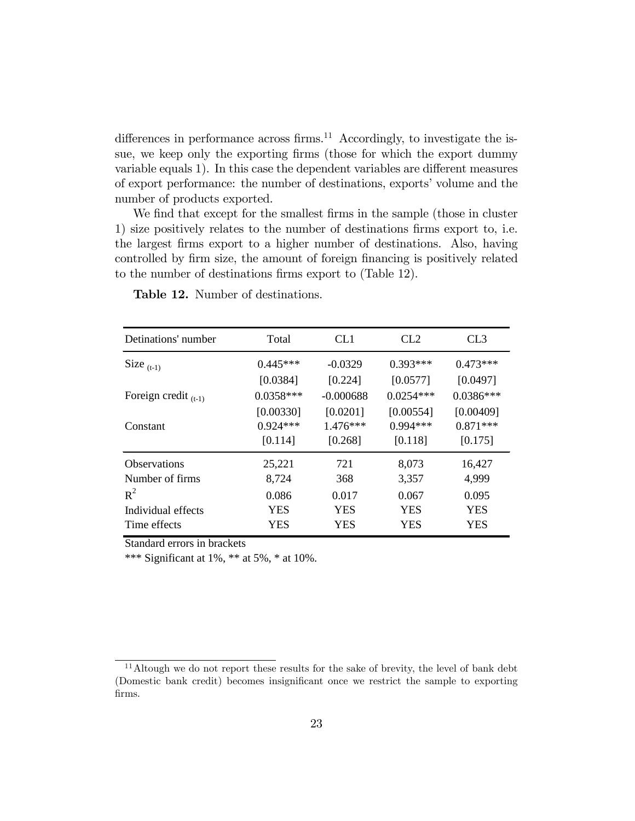differences in performance across firms.<sup>11</sup> Accordingly, to investigate the issue, we keep only the exporting firms (those for which the export dummy variable equals 1). In this case the dependent variables are different measures of export performance: the number of destinations, exports' volume and the number of products exported.

We find that except for the smallest firms in the sample (those in cluster 1) size positively relates to the number of destinations firms export to, i.e. the largest Örms export to a higher number of destinations. Also, having controlled by firm size, the amount of foreign financing is positively related to the number of destinations firms export to (Table 12).

| Detinations' number                         | Total                              | CL <sub>1</sub>                   | CL2                                | CL <sub>3</sub>                    |
|---------------------------------------------|------------------------------------|-----------------------------------|------------------------------------|------------------------------------|
| Size $_{(t-1)}$                             | $0.445***$                         | $-0.0329$                         | $0.393***$                         | $0.473***$                         |
|                                             | [0.0384]                           | [0.224]                           | [0.0577]                           | [0.0497]                           |
| Foreign credit $_{(t-1)}$                   | $0.0358***$                        | $-0.000688$                       | $0.0254***$                        | $0.0386***$                        |
| Constant                                    | [0.00330]<br>$0.924***$<br>[0.114] | [0.0201]<br>$1.476***$<br>[0.268] | [0.00554]<br>$0.994***$<br>[0.118] | [0.00409]<br>$0.871***$<br>[0.175] |
| <b>Observations</b><br>Number of firms      | 25,221<br>8,724                    | 721<br>368                        | 8,073<br>3,357                     | 16,427<br>4,999                    |
| $R^2$<br>Individual effects<br>Time effects | 0.086<br><b>YES</b><br>YES         | 0.017<br><b>YES</b><br>YES        | 0.067<br><b>YES</b><br>YES         | 0.095<br><b>YES</b><br>YES         |

Table 12. Number of destinations.

Standard errors in brackets

\*\*\* Significant at 1%, \*\* at 5%, \* at 10%.

 $11$ Altough we do not report these results for the sake of brevity, the level of bank debt (Domestic bank credit) becomes insignificant once we restrict the sample to exporting firms.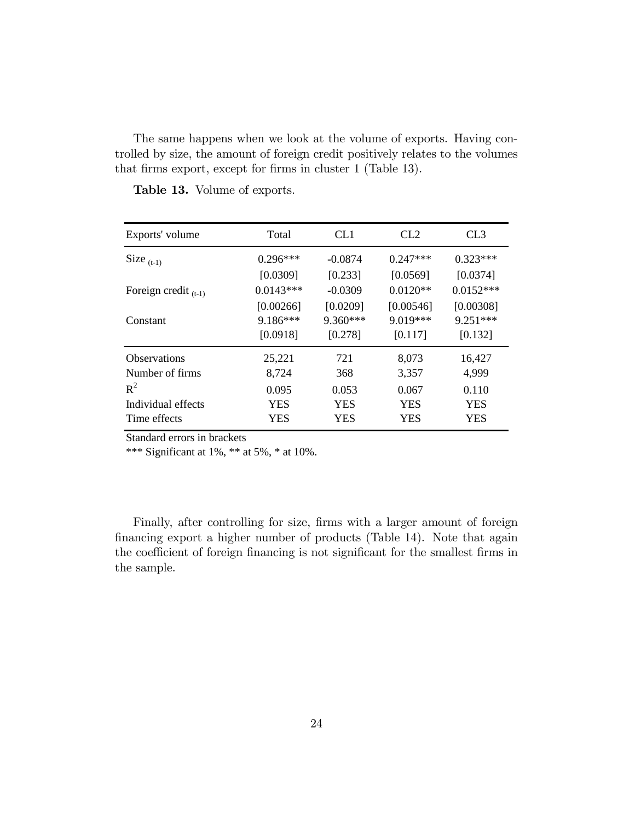The same happens when we look at the volume of exports. Having controlled by size, the amount of foreign credit positively relates to the volumes that firms export, except for firms in cluster 1 (Table 13).

| Exports' volume           | Total       | CL <sub>1</sub> | CL2        | CL <sub>3</sub> |
|---------------------------|-------------|-----------------|------------|-----------------|
| Size $(t-1)$              | $0.296***$  | $-0.0874$       | $0.247***$ | $0.323***$      |
|                           | [0.0309]    | [0.233]         | [0.0569]   | [0.0374]        |
| Foreign credit $_{(t-1)}$ | $0.0143***$ | $-0.0309$       | $0.0120**$ | $0.0152***$     |
|                           | [0.00266]   | [0.0209]        | [0.00546]  | [0.00308]       |
| Constant                  | 9.186***    | 9.360***        | $9.019***$ | $9.251***$      |
|                           | [0.0918]    | [0.278]         | [0.117]    | [0.132]         |
| <b>Observations</b>       | 25,221      | 721             | 8,073      | 16,427          |
| Number of firms           | 8,724       | 368             | 3,357      | 4,999           |
| $R^2$                     | 0.095       | 0.053           | 0.067      | 0.110           |
| Individual effects        | <b>YES</b>  | <b>YES</b>      | <b>YES</b> | <b>YES</b>      |
| Time effects              | YES         | YES             | YES        | YES             |

Table 13. Volume of exports.

Standard errors in brackets

\*\*\* Significant at 1%, \*\* at 5%, \* at 10%.

Finally, after controlling for size, firms with a larger amount of foreign financing export a higher number of products (Table 14). Note that again the coefficient of foreign financing is not significant for the smallest firms in the sample.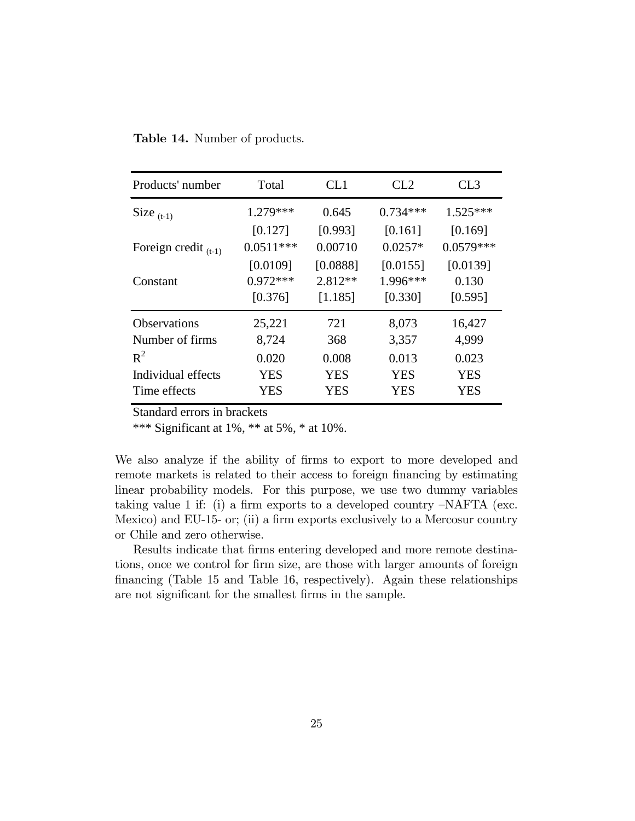Table 14. Number of products.

| Products' number          | Total       | CL1        | CL2        | CL <sub>3</sub> |
|---------------------------|-------------|------------|------------|-----------------|
| Size $(t-1)$              | $1.279***$  | 0.645      | $0.734***$ | $1.525***$      |
|                           | [0.127]     | [0.993]    | [0.161]    | [0.169]         |
| Foreign credit $_{(t-1)}$ | $0.0511***$ | 0.00710    | $0.0257*$  | $0.0579***$     |
|                           | [0.0109]    | [0.0888]   | [0.0155]   | [0.0139]        |
| Constant                  | $0.972***$  | $2.812**$  | 1.996***   | 0.130           |
|                           | [0.376]     | [1.185]    | [0.330]    | [0.595]         |
| <b>Observations</b>       | 25,221      | 721        | 8,073      | 16,427          |
| Number of firms           | 8,724       | 368        | 3,357      | 4,999           |
| $R^2$                     | 0.020       | 0.008      | 0.013      | 0.023           |
| Individual effects        | <b>YES</b>  | <b>YES</b> | <b>YES</b> | <b>YES</b>      |
| Time effects              | <b>YES</b>  | YES        | <b>YES</b> | <b>YES</b>      |

Standard errors in brackets

\*\*\* Significant at  $1\%$ , \*\* at  $5\%$ , \* at  $10\%$ .

We also analyze if the ability of firms to export to more developed and remote markets is related to their access to foreign financing by estimating linear probability models. For this purpose, we use two dummy variables taking value 1 if: (i) a firm exports to a developed country  $-NAFTA$  (exc. Mexico) and EU-15- or; (ii) a firm exports exclusively to a Mercosur country or Chile and zero otherwise.

Results indicate that firms entering developed and more remote destinations, once we control for firm size, are those with larger amounts of foreign Önancing (Table 15 and Table 16, respectively). Again these relationships are not significant for the smallest firms in the sample.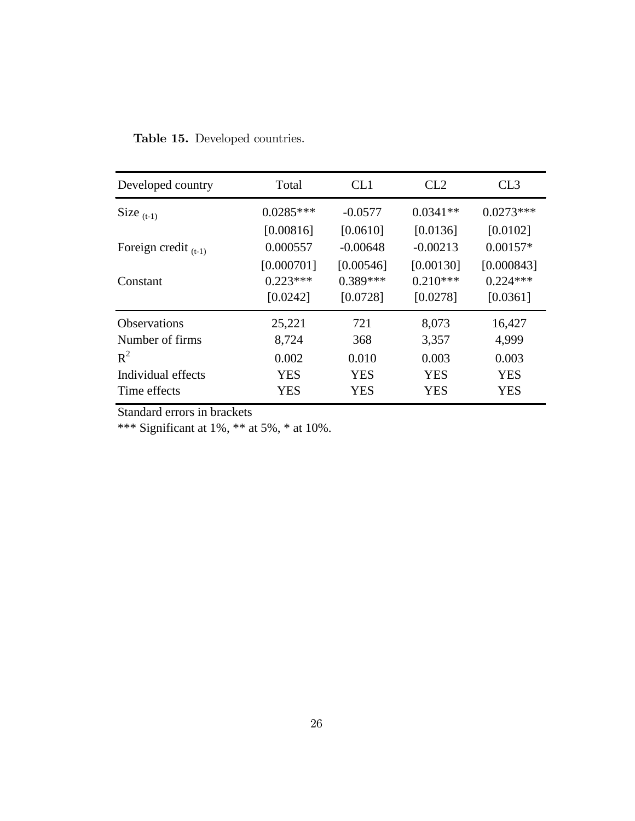Table 15. Developed countries.

| Developed country         | Total       | CL1        | CL2        | CL3         |
|---------------------------|-------------|------------|------------|-------------|
| Size $(t-1)$              | $0.0285***$ | $-0.0577$  | $0.0341**$ | $0.0273***$ |
|                           | [0.00816]   | [0.0610]   | [0.0136]   | [0.0102]    |
| Foreign credit $_{(t-1)}$ | 0.000557    | $-0.00648$ | $-0.00213$ | $0.00157*$  |
|                           | [0.000701]  | [0.00546]  | [0.00130]  | [0.000843]  |
| Constant                  | $0.223***$  | $0.389***$ | $0.210***$ | $0.224***$  |
|                           | [0.0242]    | [0.0728]   | [0.0278]   | [0.0361]    |
| <b>Observations</b>       | 25,221      | 721        | 8,073      | 16,427      |
| Number of firms           | 8,724       | 368        | 3,357      | 4,999       |
| $R^2$                     | 0.002       | 0.010      | 0.003      | 0.003       |
| Individual effects        | <b>YES</b>  | <b>YES</b> | <b>YES</b> | <b>YES</b>  |
| Time effects              | <b>YES</b>  | <b>YES</b> | YES        | <b>YES</b>  |

Standard errors in brackets

\*\*\* Significant at 1%, \*\* at 5%, \* at 10%.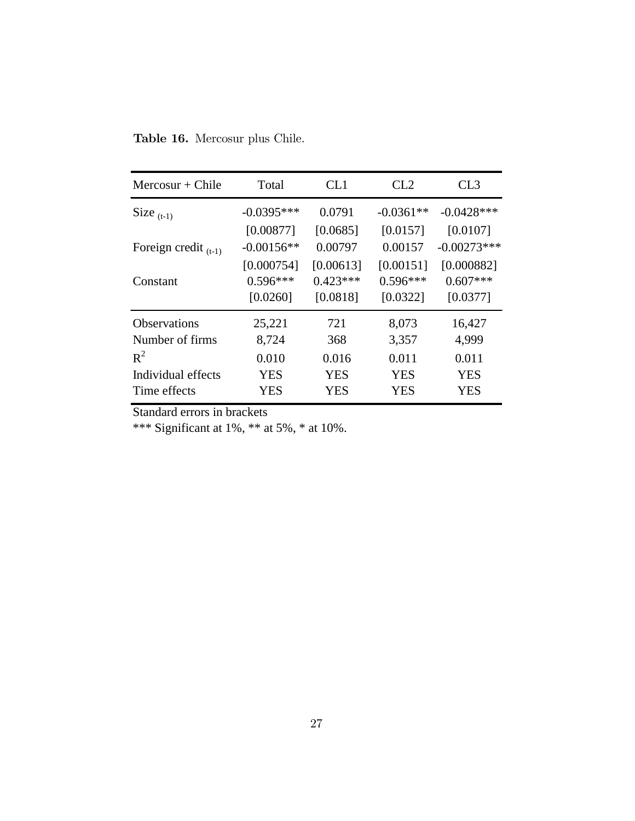Table 16. Mercosur plus Chile.

| $Mercosur + Chile$        | Total        | CL1        | CL2         | CL <sub>3</sub> |
|---------------------------|--------------|------------|-------------|-----------------|
| Size $(t-1)$              | $-0.0395***$ | 0.0791     | $-0.0361**$ | $-0.0428$ ***   |
|                           | [0.00877]    | [0.0685]   | [0.0157]    | [0.0107]        |
| Foreign credit $_{(t-1)}$ | $-0.00156**$ | 0.00797    | 0.00157     | $-0.00273***$   |
|                           | [0.000754]   | [0.00613]  | [0.00151]   | [0.000882]      |
| Constant                  | $0.596***$   | $0.423***$ | $0.596***$  | $0.607***$      |
|                           | [0.0260]     | [0.0818]   | [0.0322]    | [0.0377]        |
| <b>Observations</b>       | 25,221       | 721        | 8,073       | 16,427          |
| Number of firms           | 8,724        | 368        | 3,357       | 4,999           |
| $R^2$                     | 0.010        | 0.016      | 0.011       | 0.011           |
| Individual effects        | <b>YES</b>   | <b>YES</b> | <b>YES</b>  | <b>YES</b>      |
| Time effects              | <b>YES</b>   | <b>YES</b> | <b>YES</b>  | <b>YES</b>      |

Standard errors in brackets

\*\*\* Significant at 1%, \*\* at 5%, \* at 10%.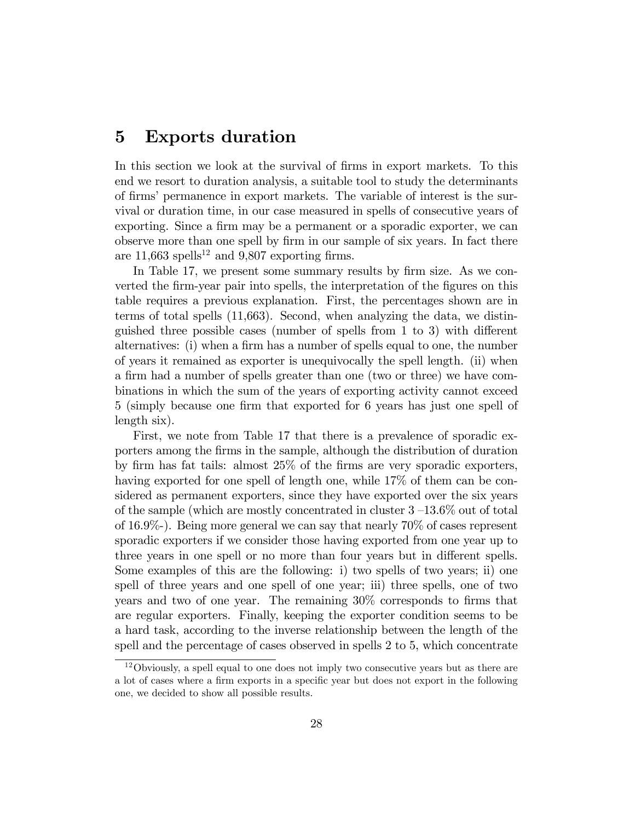## 5 Exports duration

In this section we look at the survival of firms in export markets. To this end we resort to duration analysis, a suitable tool to study the determinants of firms' permanence in export markets. The variable of interest is the survival or duration time, in our case measured in spells of consecutive years of exporting. Since a firm may be a permanent or a sporadic exporter, we can observe more than one spell by Örm in our sample of six years. In fact there are  $11,663$  spells<sup>12</sup> and 9,807 exporting firms.

In Table 17, we present some summary results by firm size. As we converted the firm-year pair into spells, the interpretation of the figures on this table requires a previous explanation. First, the percentages shown are in terms of total spells (11,663). Second, when analyzing the data, we distinguished three possible cases (number of spells from  $1$  to  $3$ ) with different alternatives: (i) when a firm has a number of spells equal to one, the number of years it remained as exporter is unequivocally the spell length. (ii) when a firm had a number of spells greater than one (two or three) we have combinations in which the sum of the years of exporting activity cannot exceed 5 (simply because one firm that exported for 6 years has just one spell of length six).

First, we note from Table 17 that there is a prevalence of sporadic exporters among the Örms in the sample, although the distribution of duration by firm has fat tails: almost  $25\%$  of the firms are very sporadic exporters, having exported for one spell of length one, while 17% of them can be considered as permanent exporters, since they have exported over the six years of the sample (which are mostly concentrated in cluster  $3-13.6\%$  out of total of 16.9%-). Being more general we can say that nearly 70% of cases represent sporadic exporters if we consider those having exported from one year up to three years in one spell or no more than four years but in different spells. Some examples of this are the following: i) two spells of two years; ii) one spell of three years and one spell of one year; iii) three spells, one of two years and two of one year. The remaining  $30\%$  corresponds to firms that are regular exporters. Finally, keeping the exporter condition seems to be a hard task, according to the inverse relationship between the length of the spell and the percentage of cases observed in spells 2 to 5, which concentrate

<sup>12</sup>Obviously, a spell equal to one does not imply two consecutive years but as there are a lot of cases where a firm exports in a specific year but does not export in the following one, we decided to show all possible results.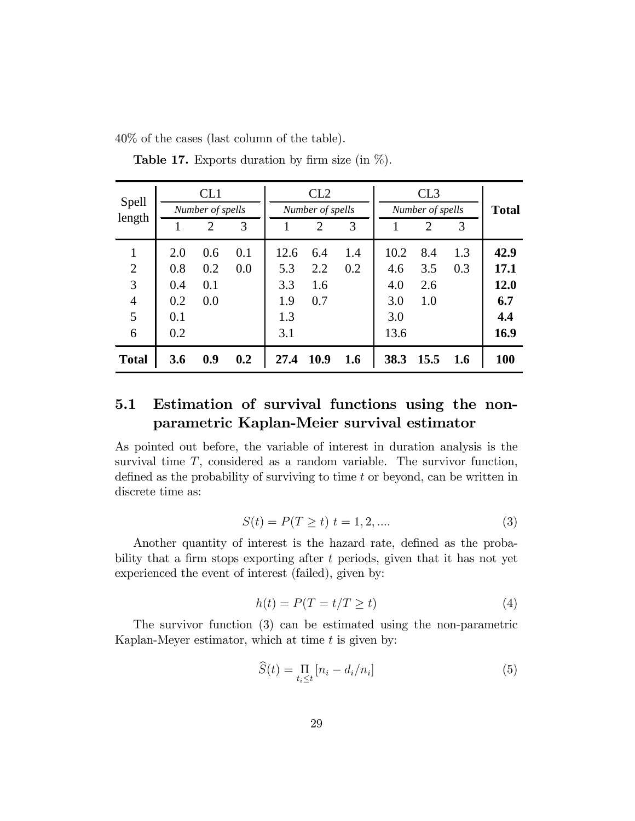40% of the cases (last column of the table).

| <b>Spell</b>   | CL1              |     |     | CL2              |                             |     | CL3              |      |     |              |
|----------------|------------------|-----|-----|------------------|-----------------------------|-----|------------------|------|-----|--------------|
| length         | Number of spells |     |     | Number of spells |                             |     | Number of spells |      |     | <b>Total</b> |
|                |                  | 2   | 3   |                  | $\mathcal{D}_{\mathcal{L}}$ | 3   |                  | 2    | 3   |              |
| $\mathbf{1}$   | 2.0              | 0.6 | 0.1 | 12.6             | 6.4                         | 1.4 | 10.2             | 8.4  | 1.3 | 42.9         |
| $\overline{2}$ | 0.8              | 0.2 | 0.0 | 5.3              | 2.2                         | 0.2 | 4.6              | 3.5  | 0.3 | 17.1         |
| 3              | 0.4              | 0.1 |     | 3.3              | 1.6                         |     | 4.0              | 2.6  |     | 12.0         |
| $\overline{4}$ | 0.2              | 0.0 |     | 1.9              | 0.7                         |     | 3.0              | 1.0  |     | 6.7          |
| 5              | 0.1              |     |     | 1.3              |                             |     | 3.0              |      |     | 4.4          |
| 6              | 0.2              |     |     | 3.1              |                             |     | 13.6             |      |     | 16.9         |
| <b>Total</b>   | 3.6              | 0.9 | 0.2 | 27.4             | 10.9                        | 1.6 | 38.3             | 15.5 | 1.6 | 100          |

**Table 17.** Exports duration by firm size (in  $\%$ ).

## 5.1 Estimation of survival functions using the nonparametric Kaplan-Meier survival estimator

As pointed out before, the variable of interest in duration analysis is the survival time  $T$ , considered as a random variable. The survivor function, defined as the probability of surviving to time  $t$  or beyond, can be written in discrete time as:

$$
S(t) = P(T \ge t) \ t = 1, 2, .... \tag{3}
$$

Another quantity of interest is the hazard rate, defined as the probability that a firm stops exporting after  $t$  periods, given that it has not yet experienced the event of interest (failed), given by:

$$
h(t) = P(T = t/T \ge t)
$$
\n<sup>(4)</sup>

The survivor function (3) can be estimated using the non-parametric Kaplan-Meyer estimator, which at time  $t$  is given by:

$$
\widehat{S}(t) = \prod_{i_i \le t} \left[ n_i - d_i / n_i \right] \tag{5}
$$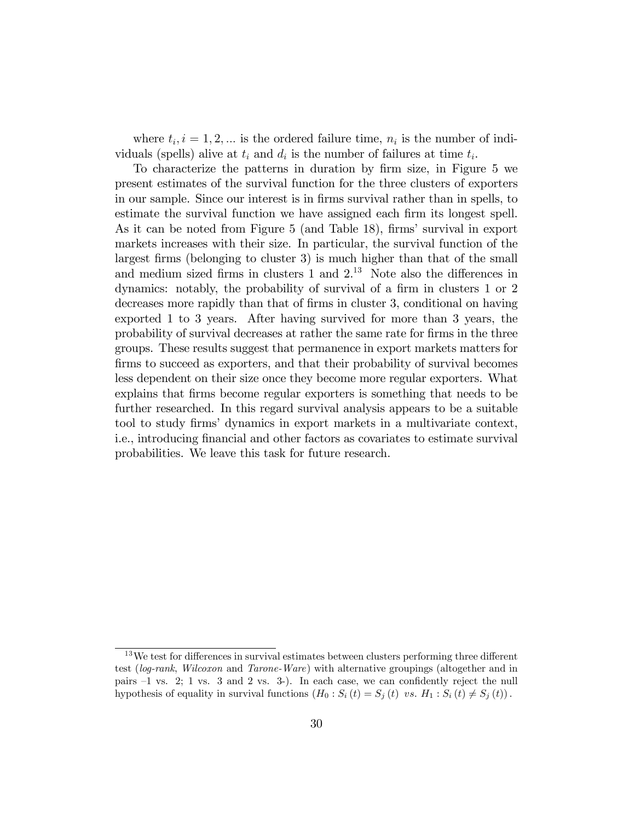where  $t_i, i = 1, 2, \dots$  is the ordered failure time,  $n_i$  is the number of individuals (spells) alive at  $t_i$  and  $d_i$  is the number of failures at time  $t_i$ .

To characterize the patterns in duration by firm size, in Figure 5 we present estimates of the survival function for the three clusters of exporters in our sample. Since our interest is in firms survival rather than in spells, to estimate the survival function we have assigned each firm its longest spell. As it can be noted from Figure 5 (and Table 18), firms' survival in export markets increases with their size. In particular, the survival function of the largest firms (belonging to cluster 3) is much higher than that of the small and medium sized firms in clusters  $1$  and  $2<sup>13</sup>$  Note also the differences in dynamics: notably, the probability of survival of a firm in clusters 1 or 2 decreases more rapidly than that of firms in cluster 3, conditional on having exported 1 to 3 years. After having survived for more than 3 years, the probability of survival decreases at rather the same rate for Örms in the three groups. These results suggest that permanence in export markets matters for firms to succeed as exporters, and that their probability of survival becomes less dependent on their size once they become more regular exporters. What explains that firms become regular exporters is something that needs to be further researched. In this regard survival analysis appears to be a suitable tool to study Örmsí dynamics in export markets in a multivariate context, i.e., introducing Önancial and other factors as covariates to estimate survival probabilities. We leave this task for future research.

 $13\,\text{We test for differences in survival estimates between clusters performing three different.}$ test (log-rank, Wilcoxon and Tarone-Ware) with alternative groupings (altogether and in pairs  $-1$  vs. 2; 1 vs. 3 and 2 vs. 3-). In each case, we can confidently reject the null hypothesis of equality in survival functions  $(H_0: S_i(t) = S_j(t) \text{ vs. } H_1: S_i(t) \neq S_j(t))$ .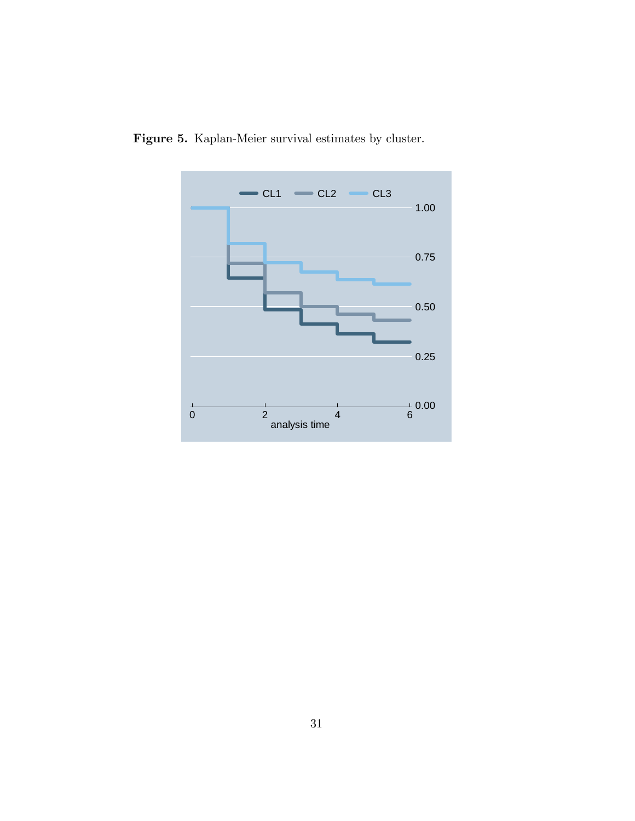

Figure 5. Kaplan-Meier survival estimates by cluster.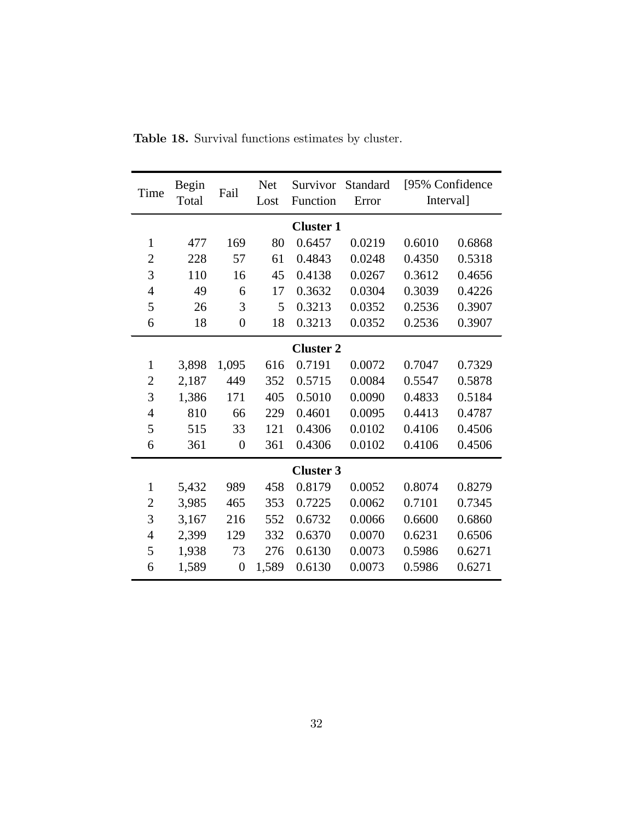| Time             | <b>Begin</b><br>Total | Fail             | <b>Net</b><br>Lost | Survivor<br>Function | Standard<br>Error | Interval] | [95% Confidence] |
|------------------|-----------------------|------------------|--------------------|----------------------|-------------------|-----------|------------------|
| <b>Cluster 1</b> |                       |                  |                    |                      |                   |           |                  |
| $\mathbf{1}$     | 477                   | 169              | 80                 | 0.6457               | 0.0219            | 0.6010    | 0.6868           |
| $\overline{2}$   | 228                   | 57               | 61                 | 0.4843               | 0.0248            | 0.4350    | 0.5318           |
| 3                | 110                   | 16               | 45                 | 0.4138               | 0.0267            | 0.3612    | 0.4656           |
| $\overline{4}$   | 49                    | 6                | 17                 | 0.3632               | 0.0304            | 0.3039    | 0.4226           |
| 5                | 26                    | 3                | 5                  | 0.3213               | 0.0352            | 0.2536    | 0.3907           |
| 6                | 18                    | $\overline{0}$   | 18                 | 0.3213               | 0.0352            | 0.2536    | 0.3907           |
| <b>Cluster 2</b> |                       |                  |                    |                      |                   |           |                  |
| $\mathbf{1}$     | 3,898                 | 1,095            | 616                | 0.7191               | 0.0072            | 0.7047    | 0.7329           |
| $\overline{c}$   | 2,187                 | 449              | 352                | 0.5715               | 0.0084            | 0.5547    | 0.5878           |
| 3                | 1,386                 | 171              | 405                | 0.5010               | 0.0090            | 0.4833    | 0.5184           |
| $\overline{4}$   | 810                   | 66               | 229                | 0.4601               | 0.0095            | 0.4413    | 0.4787           |
| 5                | 515                   | 33               | 121                | 0.4306               | 0.0102            | 0.4106    | 0.4506           |
| 6                | 361                   | $\overline{0}$   | 361                | 0.4306               | 0.0102            | 0.4106    | 0.4506           |
|                  |                       |                  |                    | <b>Cluster 3</b>     |                   |           |                  |
| $\mathbf{1}$     | 5,432                 | 989              | 458                | 0.8179               | 0.0052            | 0.8074    | 0.8279           |
| $\overline{2}$   | 3,985                 | 465              | 353                | 0.7225               | 0.0062            | 0.7101    | 0.7345           |
| 3                | 3,167                 | 216              | 552                | 0.6732               | 0.0066            | 0.6600    | 0.6860           |
| 4                | 2,399                 | 129              | 332                | 0.6370               | 0.0070            | 0.6231    | 0.6506           |
| 5                | 1,938                 | 73               | 276                | 0.6130               | 0.0073            | 0.5986    | 0.6271           |
| 6                | 1,589                 | $\boldsymbol{0}$ | 1,589              | 0.6130               | 0.0073            | 0.5986    | 0.6271           |

Table 18. Survival functions estimates by cluster.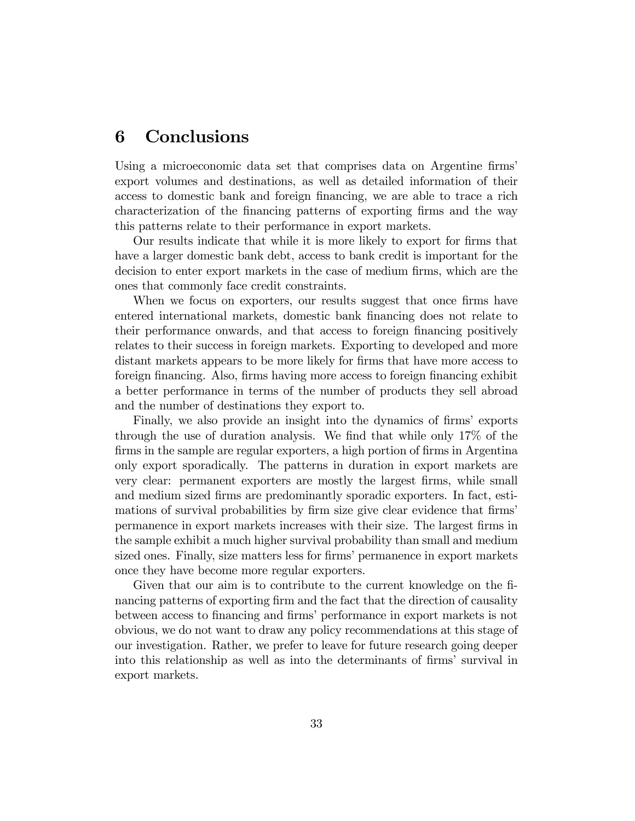## 6 Conclusions

Using a microeconomic data set that comprises data on Argentine firms' export volumes and destinations, as well as detailed information of their access to domestic bank and foreign financing, we are able to trace a rich characterization of the Önancing patterns of exporting Örms and the way this patterns relate to their performance in export markets.

Our results indicate that while it is more likely to export for firms that have a larger domestic bank debt, access to bank credit is important for the decision to enter export markets in the case of medium firms, which are the ones that commonly face credit constraints.

When we focus on exporters, our results suggest that once firms have entered international markets, domestic bank financing does not relate to their performance onwards, and that access to foreign financing positively relates to their success in foreign markets. Exporting to developed and more distant markets appears to be more likely for firms that have more access to foreign financing. Also, firms having more access to foreign financing exhibit a better performance in terms of the number of products they sell abroad and the number of destinations they export to.

Finally, we also provide an insight into the dynamics of firms' exports through the use of duration analysis. We find that while only  $17\%$  of the firms in the sample are regular exporters, a high portion of firms in Argentina only export sporadically. The patterns in duration in export markets are very clear: permanent exporters are mostly the largest Örms, while small and medium sized firms are predominantly sporadic exporters. In fact, estimations of survival probabilities by firm size give clear evidence that firms' permanence in export markets increases with their size. The largest Örms in the sample exhibit a much higher survival probability than small and medium sized ones. Finally, size matters less for firms' permanence in export markets once they have become more regular exporters.

Given that our aim is to contribute to the current knowledge on the Önancing patterns of exporting firm and the fact that the direction of causality between access to financing and firms' performance in export markets is not obvious, we do not want to draw any policy recommendations at this stage of our investigation. Rather, we prefer to leave for future research going deeper into this relationship as well as into the determinants of firms' survival in export markets.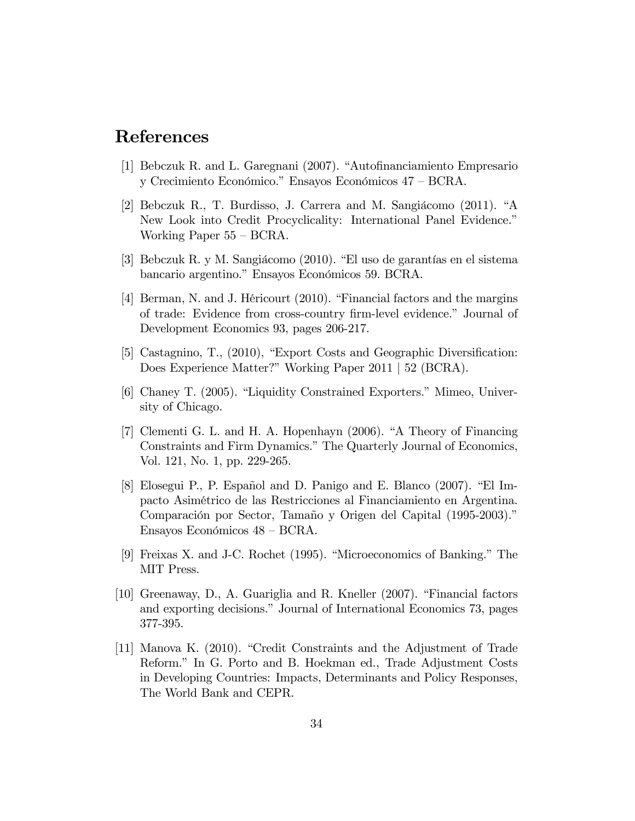## References

- [1] Bebczuk R. and L. Garegnani  $(2007)$ . "Autofinanciamiento Empresario y Crecimiento Económico." Ensayos Económicos  $47$  –  $\rm BCRA.$
- [2] Bebczuk R., T. Burdisso, J. Carrera and M. Sangiácomo  $(2011)$ . "A New Look into Credit Procyclicality: International Panel Evidence." Working Paper  $55 - BCRA$ .
- [3] Bebczuk R. y M. Sangiácomo  $(2010)$ . "El uso de garantías en el sistema bancario argentino." Ensayos Económicos 59. BCRA.
- [4] Berman, N. and J. Héricourt  $(2010)$ . "Financial factors and the margins of trade: Evidence from cross-country firm-level evidence." Journal of Development Economics 93, pages 206-217.
- [5] Castagnino, T.,  $(2010)$ , "Export Costs and Geographic Diversification: Does Experience Matter?" Working Paper 2011 | 52 (BCRA).
- [6] Chaney T. (2005). "Liquidity Constrained Exporters." Mimeo, University of Chicago.
- $[7]$  Clementi G. L. and H. A. Hopenhayn  $(2006)$ . "A Theory of Financing Constraints and Firm Dynamics." The Quarterly Journal of Economics, Vol. 121, No. 1, pp. 229-265.
- [8] Elosegui P., P. Español and D. Panigo and E. Blanco (2007). "El Impacto AsimÈtrico de las Restricciones al Financiamiento en Argentina. Comparación por Sector, Tamaño y Origen del Capital (1995-2003)." Ensayos Económicos  $48 - BCRA$ .
- [9] Freixas X. and J-C. Rochet  $(1995)$ . "Microeconomics of Banking." The MIT Press.
- [10] Greenaway, D., A. Guariglia and R. Kneller  $(2007)$ . "Financial factors" and exporting decisions." Journal of International Economics 73, pages 377-395.
- [11] Manova K. (2010). "Credit Constraints and the Adjustment of Trade Reform." In G. Porto and B. Hoekman ed., Trade Adjustment Costs in Developing Countries: Impacts, Determinants and Policy Responses, The World Bank and CEPR.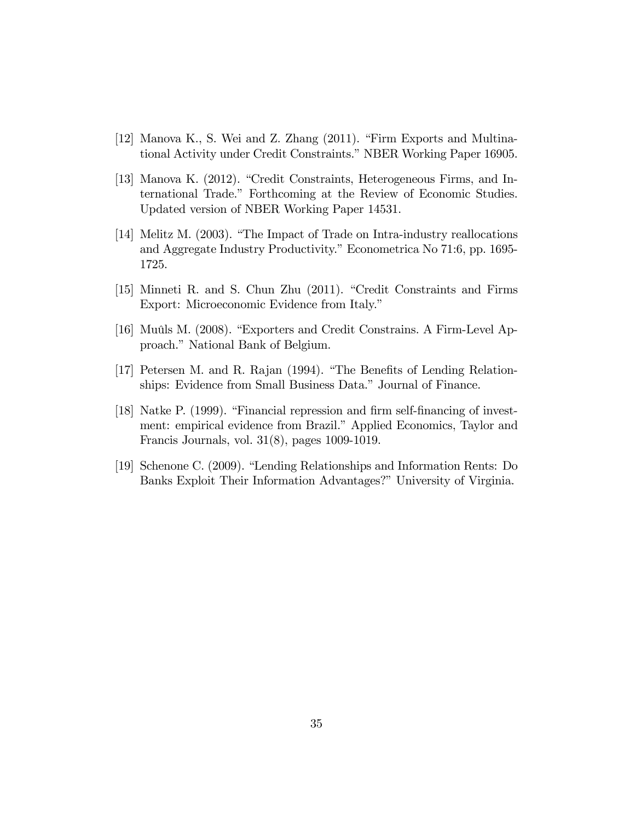- [12] Manova K., S. Wei and Z. Zhang  $(2011)$ . "Firm Exports and Multinational Activity under Credit Constraints." NBER Working Paper 16905.
- [13] Manova K. (2012). "Credit Constraints, Heterogeneous Firms, and International Trade.î Forthcoming at the Review of Economic Studies. Updated version of NBER Working Paper 14531.
- [14] Melitz M.  $(2003)$ . "The Impact of Trade on Intra-industry reallocations and Aggregate Industry Productivity." Econometrica No 71:6, pp. 1695-1725.
- [15] Minneti R. and S. Chun Zhu (2011). "Credit Constraints and Firms Export: Microeconomic Evidence from Italy."
- [16] Muûls M. (2008). "Exporters and Credit Constrains. A Firm-Level Approach." National Bank of Belgium.
- [17] Petersen M. and R. Rajan (1994). "The Benefits of Lending Relationships: Evidence from Small Business Data." Journal of Finance.
- [18] Natke P. (1999). "Financial repression and firm self-financing of investment: empirical evidence from Brazil." Applied Economics, Taylor and Francis Journals, vol. 31(8), pages 1009-1019.
- [19] Schenone C.  $(2009)$ . "Lending Relationships and Information Rents: Do Banks Exploit Their Information Advantages?" University of Virginia.